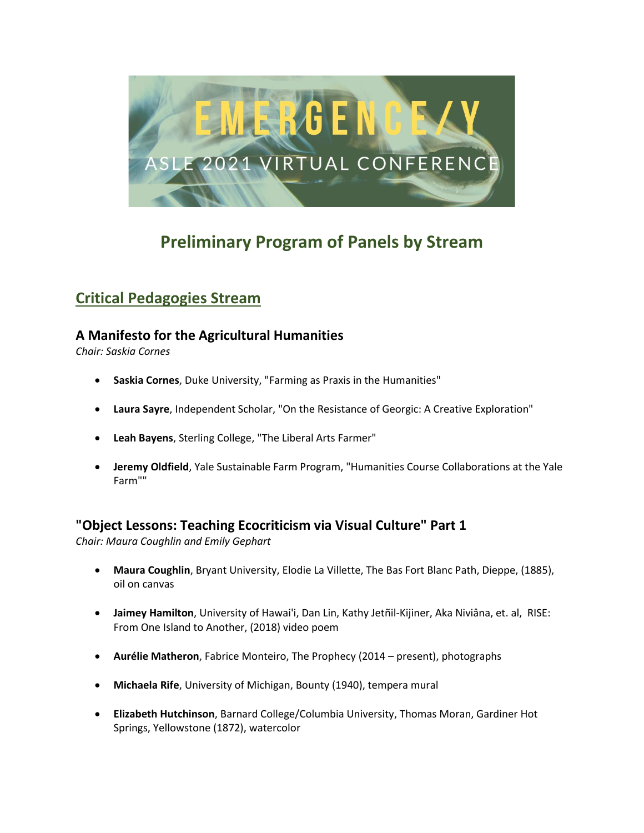

# **Preliminary Program of Panels by Stream**

# **Critical Pedagogies Stream**

## **A Manifesto for the Agricultural Humanities**

*Chair: Saskia Cornes*

- **Saskia Cornes**, Duke University, "Farming as Praxis in the Humanities"
- **Laura Sayre**, Independent Scholar, "On the Resistance of Georgic: A Creative Exploration"
- **Leah Bayens**, Sterling College, "The Liberal Arts Farmer"
- **Jeremy Oldfield**, Yale Sustainable Farm Program, "Humanities Course Collaborations at the Yale Farm""

## **"Object Lessons: Teaching Ecocriticism via Visual Culture" Part 1**

*Chair: Maura Coughlin and Emily Gephart*

- **Maura Coughlin**, Bryant University, Elodie La Villette, The Bas Fort Blanc Path, Dieppe, (1885), oil on canvas
- **Jaimey Hamilton**, University of Hawai'i, Dan Lin, Kathy Jetñil-Kijiner, Aka Niviâna, et. al, RISE: From One Island to Another, (2018) video poem
- **Aurélie Matheron**, Fabrice Monteiro, The Prophecy (2014 present), photographs
- **Michaela Rife**, University of Michigan, Bounty (1940), tempera mural
- **Elizabeth Hutchinson**, Barnard College/Columbia University, Thomas Moran, Gardiner Hot Springs, Yellowstone (1872), watercolor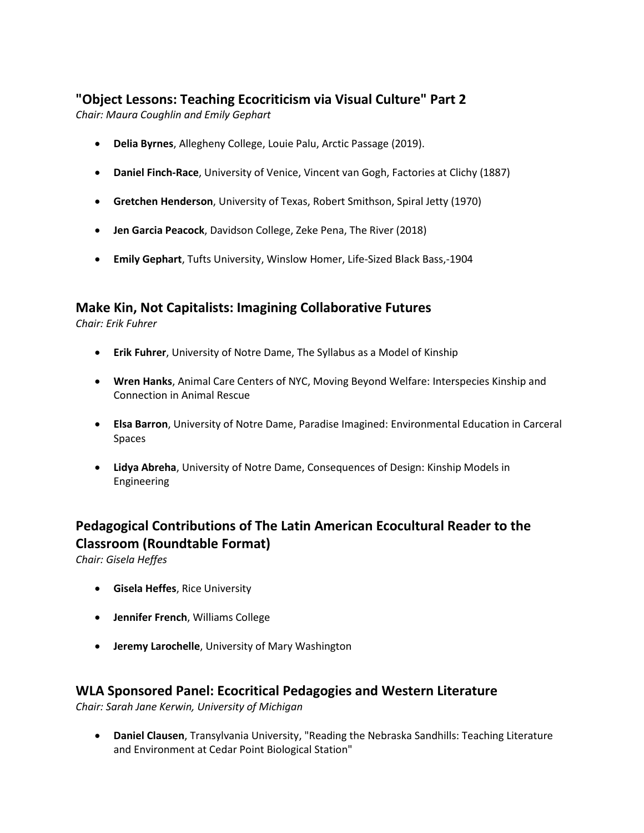## **"Object Lessons: Teaching Ecocriticism via Visual Culture" Part 2**

*Chair: Maura Coughlin and Emily Gephart*

- **Delia Byrnes**, Allegheny College, Louie Palu, Arctic Passage (2019).
- **Daniel Finch-Race**, University of Venice, Vincent van Gogh, Factories at Clichy (1887)
- **Gretchen Henderson**, University of Texas, Robert Smithson, Spiral Jetty (1970)
- **Jen Garcia Peacock**, Davidson College, Zeke Pena, The River (2018)
- **Emily Gephart**, Tufts University, Winslow Homer, Life-Sized Black Bass,-1904

## **Make Kin, Not Capitalists: Imagining Collaborative Futures**

*Chair: Erik Fuhrer*

- **Erik Fuhrer**, University of Notre Dame, The Syllabus as a Model of Kinship
- **Wren Hanks**, Animal Care Centers of NYC, Moving Beyond Welfare: Interspecies Kinship and Connection in Animal Rescue
- **Elsa Barron**, University of Notre Dame, Paradise Imagined: Environmental Education in Carceral Spaces
- **Lidya Abreha**, University of Notre Dame, Consequences of Design: Kinship Models in Engineering

# **Pedagogical Contributions of The Latin American Ecocultural Reader to the Classroom (Roundtable Format)**

*Chair: Gisela Heffes*

- **Gisela Heffes**, Rice University
- **Jennifer French**, Williams College
- **Jeremy Larochelle**, University of Mary Washington

#### **WLA Sponsored Panel: Ecocritical Pedagogies and Western Literature**

*Chair: Sarah Jane Kerwin, University of Michigan*

• **Daniel Clausen**, Transylvania University, "Reading the Nebraska Sandhills: Teaching Literature and Environment at Cedar Point Biological Station"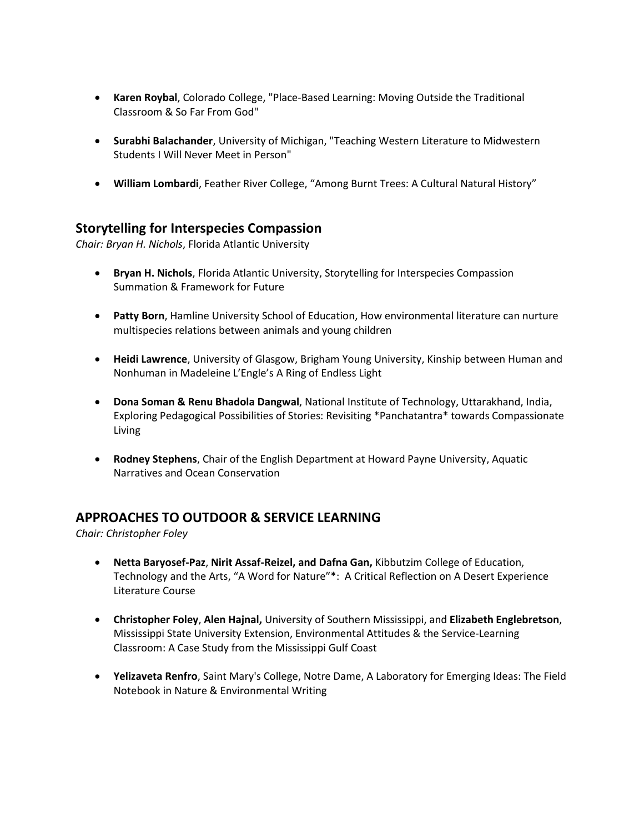- **Karen Roybal**, Colorado College, "Place-Based Learning: Moving Outside the Traditional Classroom & So Far From God"
- **Surabhi Balachander**, University of Michigan, "Teaching Western Literature to Midwestern Students I Will Never Meet in Person"
- **William Lombardi**, Feather River College, "Among Burnt Trees: A Cultural Natural History"

## **Storytelling for Interspecies Compassion**

*Chair: Bryan H. Nichols*, Florida Atlantic University

- **Bryan H. Nichols**, Florida Atlantic University, Storytelling for Interspecies Compassion Summation & Framework for Future
- **Patty Born**, Hamline University School of Education, How environmental literature can nurture multispecies relations between animals and young children
- **Heidi Lawrence**, University of Glasgow, Brigham Young University, Kinship between Human and Nonhuman in Madeleine L'Engle's A Ring of Endless Light
- **Dona Soman & Renu Bhadola Dangwal**, National Institute of Technology, Uttarakhand, India, Exploring Pedagogical Possibilities of Stories: Revisiting \*Panchatantra\* towards Compassionate Living
- **Rodney Stephens**, Chair of the English Department at Howard Payne University, Aquatic Narratives and Ocean Conservation

## **APPROACHES TO OUTDOOR & SERVICE LEARNING**

*Chair: Christopher Foley*

- **Netta Baryosef-Paz**, **Nirit Assaf-Reizel, and Dafna Gan,** Kibbutzim College of Education, Technology and the Arts, "A Word for Nature"\*: A Critical Reflection on A Desert Experience Literature Course
- **Christopher Foley**, **Alen Hajnal,** University of Southern Mississippi, and **Elizabeth Englebretson**, Mississippi State University Extension, Environmental Attitudes & the Service-Learning Classroom: A Case Study from the Mississippi Gulf Coast
- **Yelizaveta Renfro**, Saint Mary's College, Notre Dame, A Laboratory for Emerging Ideas: The Field Notebook in Nature & Environmental Writing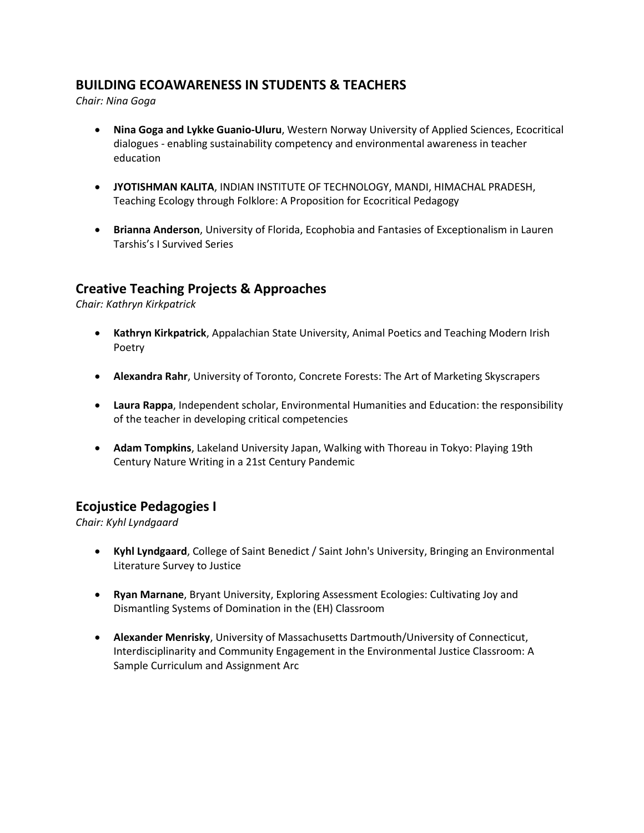## **BUILDING ECOAWARENESS IN STUDENTS & TEACHERS**

*Chair: Nina Goga*

- **Nina Goga and Lykke Guanio-Uluru**, Western Norway University of Applied Sciences, Ecocritical dialogues - enabling sustainability competency and environmental awareness in teacher education
- **JYOTISHMAN KALITA**, INDIAN INSTITUTE OF TECHNOLOGY, MANDI, HIMACHAL PRADESH, Teaching Ecology through Folklore: A Proposition for Ecocritical Pedagogy
- **Brianna Anderson**, University of Florida, Ecophobia and Fantasies of Exceptionalism in Lauren Tarshis's I Survived Series

## **Creative Teaching Projects & Approaches**

*Chair: Kathryn Kirkpatrick*

- **Kathryn Kirkpatrick**, Appalachian State University, Animal Poetics and Teaching Modern Irish Poetry
- **Alexandra Rahr**, University of Toronto, Concrete Forests: The Art of Marketing Skyscrapers
- **Laura Rappa**, Independent scholar, Environmental Humanities and Education: the responsibility of the teacher in developing critical competencies
- **Adam Tompkins**, Lakeland University Japan, Walking with Thoreau in Tokyo: Playing 19th Century Nature Writing in a 21st Century Pandemic

## **Ecojustice Pedagogies I**

*Chair: Kyhl Lyndgaard*

- **Kyhl Lyndgaard**, College of Saint Benedict / Saint John's University, Bringing an Environmental Literature Survey to Justice
- **Ryan Marnane**, Bryant University, Exploring Assessment Ecologies: Cultivating Joy and Dismantling Systems of Domination in the (EH) Classroom
- **Alexander Menrisky**, University of Massachusetts Dartmouth/University of Connecticut, Interdisciplinarity and Community Engagement in the Environmental Justice Classroom: A Sample Curriculum and Assignment Arc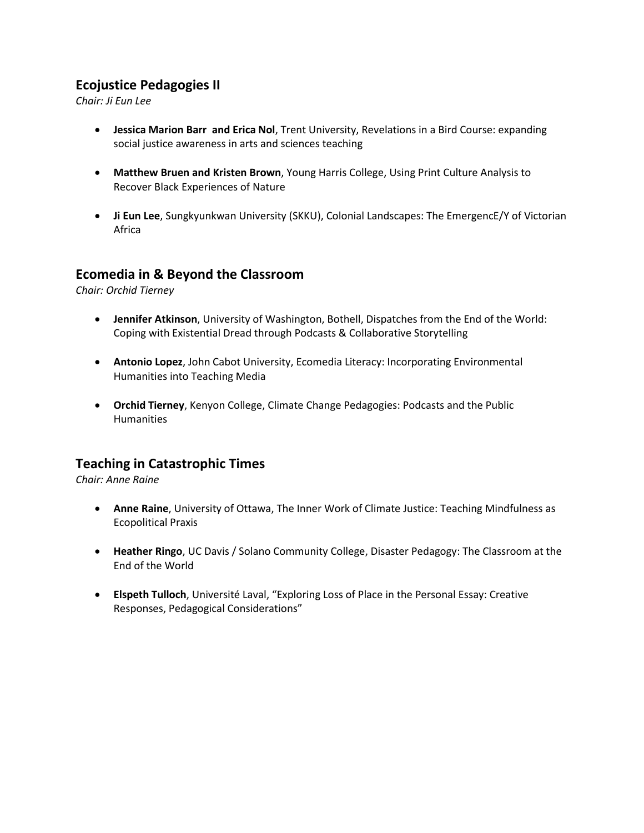## **Ecojustice Pedagogies II**

*Chair: Ji Eun Lee*

- **Jessica Marion Barr and Erica Nol**, Trent University, Revelations in a Bird Course: expanding social justice awareness in arts and sciences teaching
- **Matthew Bruen and Kristen Brown**, Young Harris College, Using Print Culture Analysis to Recover Black Experiences of Nature
- **Ji Eun Lee**, Sungkyunkwan University (SKKU), Colonial Landscapes: The EmergencE/Y of Victorian Africa

## **Ecomedia in & Beyond the Classroom**

*Chair: Orchid Tierney*

- **Jennifer Atkinson**, University of Washington, Bothell, Dispatches from the End of the World: Coping with Existential Dread through Podcasts & Collaborative Storytelling
- **Antonio Lopez**, John Cabot University, Ecomedia Literacy: Incorporating Environmental Humanities into Teaching Media
- **Orchid Tierney**, Kenyon College, Climate Change Pedagogies: Podcasts and the Public **Humanities**

## **Teaching in Catastrophic Times**

*Chair: Anne Raine*

- **Anne Raine**, University of Ottawa, The Inner Work of Climate Justice: Teaching Mindfulness as Ecopolitical Praxis
- **Heather Ringo**, UC Davis / Solano Community College, Disaster Pedagogy: The Classroom at the End of the World
- **Elspeth Tulloch**, Université Laval, "Exploring Loss of Place in the Personal Essay: Creative Responses, Pedagogical Considerations"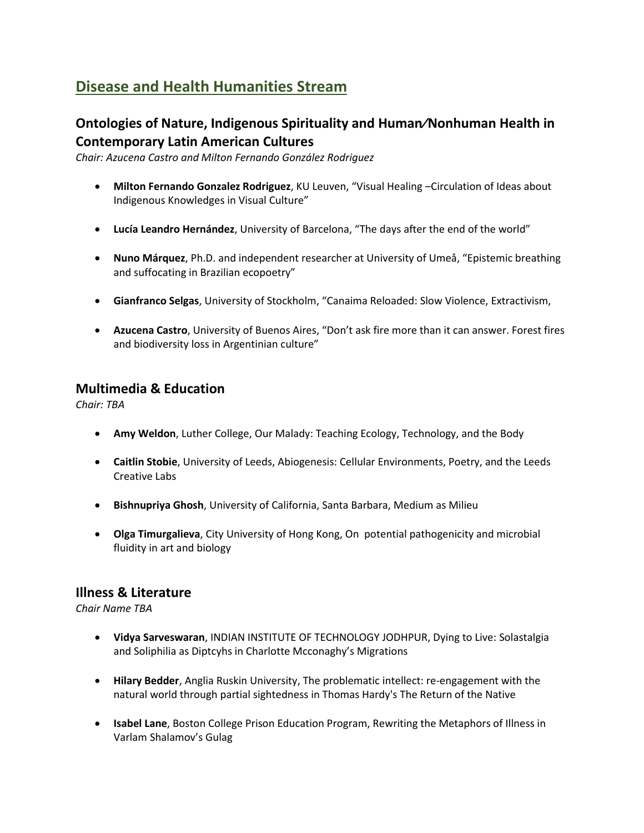# **Disease and Health Humanities Stream**

## **Ontologies of Nature, Indigenous Spirituality and Human⁄Nonhuman Health in Contemporary Latin American Cultures**

*Chair: Azucena Castro and Milton Fernando González Rodriguez*

- **Milton Fernando Gonzalez Rodriguez**, KU Leuven, "Visual Healing ‒Circulation of Ideas about Indigenous Knowledges in Visual Culture"
- **Lucía Leandro Hernández**, University of Barcelona, "The days after the end of the world"
- **Nuno Márquez**, Ph.D. and independent researcher at University of Umeå, "Epistemic breathing and suffocating in Brazilian ecopoetry"
- **Gianfranco Selgas**, University of Stockholm, "Canaima Reloaded: Slow Violence, Extractivism,
- **Azucena Castro**, University of Buenos Aires, "Don't ask fire more than it can answer. Forest fires and biodiversity loss in Argentinian culture"

## **Multimedia & Education**

*Chair: TBA*

- **Amy Weldon**, Luther College, Our Malady: Teaching Ecology, Technology, and the Body
- **Caitlin Stobie**, University of Leeds, Abiogenesis: Cellular Environments, Poetry, and the Leeds Creative Labs
- **Bishnupriya Ghosh**, University of California, Santa Barbara, Medium as Milieu
- **Olga Timurgalieva**, City University of Hong Kong, On potential pathogenicity and microbial fluidity in art and biology

#### **Illness & Literature**

*Chair Name TBA*

- **Vidya Sarveswaran**, INDIAN INSTITUTE OF TECHNOLOGY JODHPUR, Dying to Live: Solastalgia and Soliphilia as Diptcyhs in Charlotte Mcconaghy's Migrations
- **Hilary Bedder**, Anglia Ruskin University, The problematic intellect: re-engagement with the natural world through partial sightedness in Thomas Hardy's The Return of the Native
- **Isabel Lane**, Boston College Prison Education Program, Rewriting the Metaphors of Illness in Varlam Shalamov's Gulag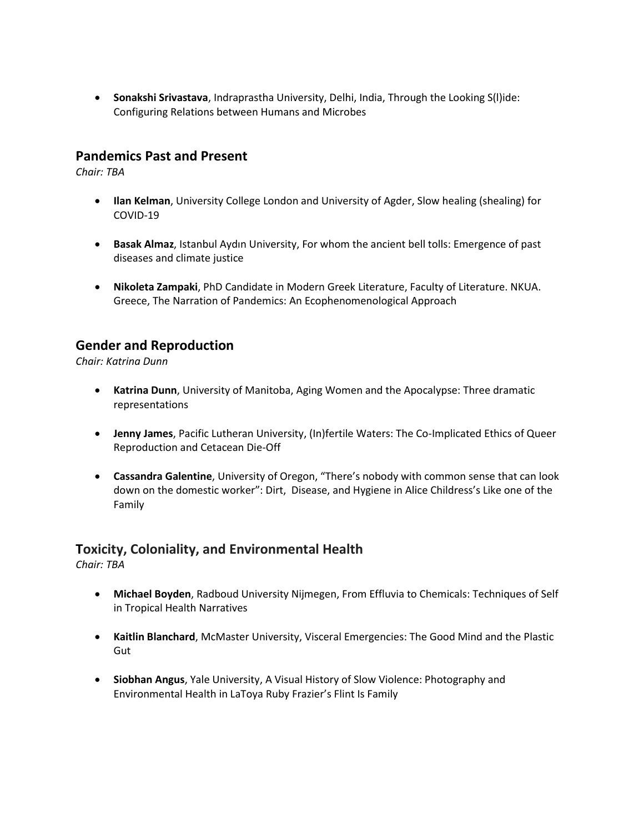• **Sonakshi Srivastava**, Indraprastha University, Delhi, India, Through the Looking S(l)ide: Configuring Relations between Humans and Microbes

#### **Pandemics Past and Present**

*Chair: TBA*

- **Ilan Kelman**, University College London and University of Agder, Slow healing (shealing) for COVID-19
- **Basak Almaz**, Istanbul Aydın University, For whom the ancient bell tolls: Emergence of past diseases and climate justice
- **Nikoleta Zampaki**, PhD Candidate in Modern Greek Literature, Faculty of Literature. NKUA. Greece, The Narration of Pandemics: An Ecophenomenological Approach

#### **Gender and Reproduction**

*Chair: Katrina Dunn*

- **Katrina Dunn**, University of Manitoba, Aging Women and the Apocalypse: Three dramatic representations
- **Jenny James**, Pacific Lutheran University, (In)fertile Waters: The Co-Implicated Ethics of Queer Reproduction and Cetacean Die-Off
- **Cassandra Galentine**, University of Oregon, "There's nobody with common sense that can look down on the domestic worker": Dirt, Disease, and Hygiene in Alice Childress's Like one of the Family

## **Toxicity, Coloniality, and Environmental Health**

*Chair: TBA*

- **Michael Boyden**, Radboud University Nijmegen, From Effluvia to Chemicals: Techniques of Self in Tropical Health Narratives
- **Kaitlin Blanchard**, McMaster University, Visceral Emergencies: The Good Mind and the Plastic Gut
- **Siobhan Angus**, Yale University, A Visual History of Slow Violence: Photography and Environmental Health in LaToya Ruby Frazier's Flint Is Family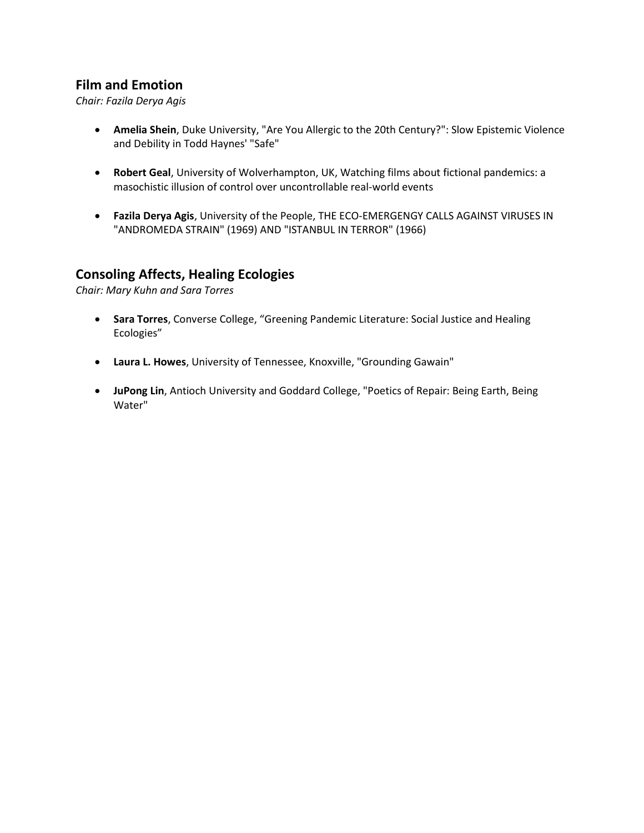## **Film and Emotion**

*Chair: Fazila Derya Agis*

- **Amelia Shein**, Duke University, "Are You Allergic to the 20th Century?": Slow Epistemic Violence and Debility in Todd Haynes' "Safe"
- **Robert Geal**, University of Wolverhampton, UK, Watching films about fictional pandemics: a masochistic illusion of control over uncontrollable real-world events
- **Fazila Derya Agis**, University of the People, THE ECO-EMERGENGY CALLS AGAINST VIRUSES IN "ANDROMEDA STRAIN" (1969) AND "ISTANBUL IN TERROR" (1966)

#### **Consoling Affects, Healing Ecologies**

*Chair: Mary Kuhn and Sara Torres*

- **Sara Torres**, Converse College, "Greening Pandemic Literature: Social Justice and Healing Ecologies"
- **Laura L. Howes**, University of Tennessee, Knoxville, "Grounding Gawain"
- **JuPong Lin**, Antioch University and Goddard College, "Poetics of Repair: Being Earth, Being Water"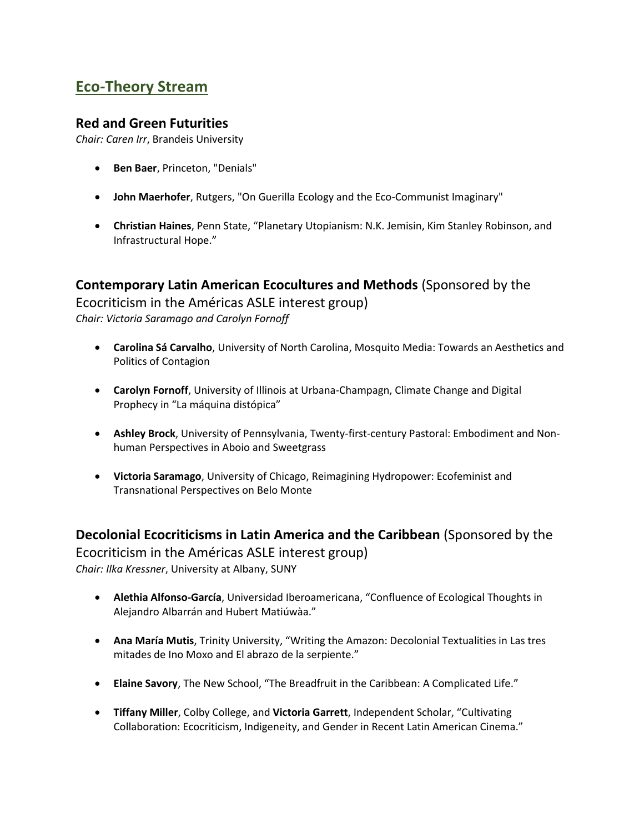# **Eco-Theory Stream**

#### **Red and Green Futurities**

*Chair: Caren Irr*, Brandeis University

- **Ben Baer**, Princeton, "Denials"
- **John Maerhofer**, Rutgers, "On Guerilla Ecology and the Eco-Communist Imaginary"
- **Christian Haines**, Penn State, "Planetary Utopianism: N.K. Jemisin, Kim Stanley Robinson, and Infrastructural Hope."

## **Contemporary Latin American Ecocultures and Methods** (Sponsored by the

Ecocriticism in the Américas ASLE interest group) *Chair: Victoria Saramago and Carolyn Fornoff*

- **Carolina Sá Carvalho**, University of North Carolina, Mosquito Media: Towards an Aesthetics and Politics of Contagion
- **Carolyn Fornoff**, University of Illinois at Urbana-Champagn, Climate Change and Digital Prophecy in "La máquina distópica"
- **Ashley Brock**, University of Pennsylvania, Twenty-first-century Pastoral: Embodiment and Nonhuman Perspectives in Aboio and Sweetgrass
- **Victoria Saramago**, University of Chicago, Reimagining Hydropower: Ecofeminist and Transnational Perspectives on Belo Monte

**Decolonial Ecocriticisms in Latin America and the Caribbean** (Sponsored by the

Ecocriticism in the Américas ASLE interest group) *Chair: Ilka Kressner*, University at Albany, SUNY

- **Alethia Alfonso-García**, Universidad Iberoamericana, "Confluence of Ecological Thoughts in Alejandro Albarrán and Hubert Matiúwàa."
- **Ana María Mutis**, Trinity University, "Writing the Amazon: Decolonial Textualities in Las tres mitades de Ino Moxo and El abrazo de la serpiente."
- **Elaine Savory**, The New School, "The Breadfruit in the Caribbean: A Complicated Life."
- **Tiffany Miller**, Colby College, and **Victoria Garrett**, Independent Scholar, "Cultivating Collaboration: Ecocriticism, Indigeneity, and Gender in Recent Latin American Cinema."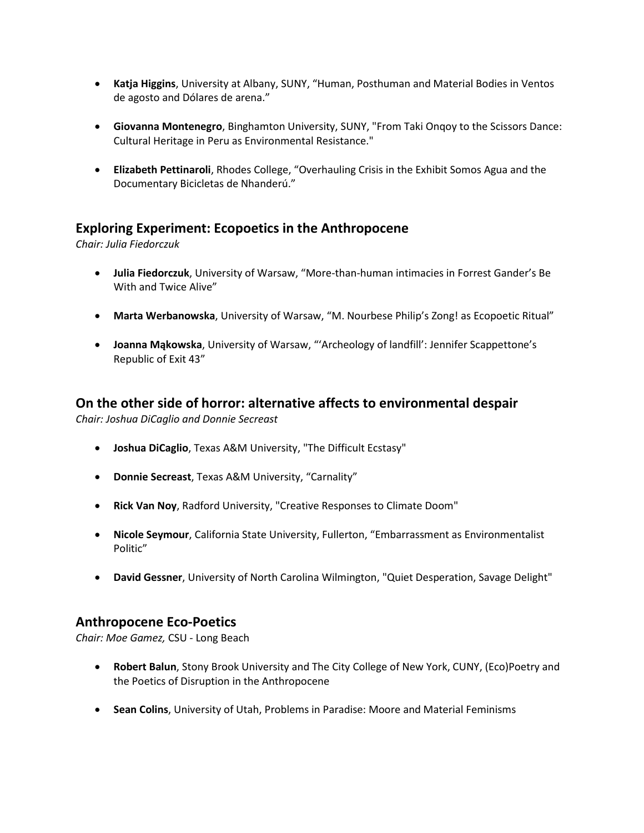- **Katja Higgins**, University at Albany, SUNY, "Human, Posthuman and Material Bodies in Ventos de agosto and Dólares de arena."
- **Giovanna Montenegro**, Binghamton University, SUNY, "From Taki Onqoy to the Scissors Dance: Cultural Heritage in Peru as Environmental Resistance."
- **Elizabeth Pettinaroli**, Rhodes College, "Overhauling Crisis in the Exhibit Somos Agua and the Documentary Bicicletas de Nhanderú."

## **Exploring Experiment: Ecopoetics in the Anthropocene**

*Chair: Julia Fiedorczuk*

- **Julia Fiedorczuk**, University of Warsaw, "More-than-human intimacies in Forrest Gander's Be With and Twice Alive"
- **Marta Werbanowska**, University of Warsaw, "M. Nourbese Philip's Zong! as Ecopoetic Ritual"
- **Joanna Mąkowska**, University of Warsaw, "'Archeology of landfill': Jennifer Scappettone's Republic of Exit 43"

## **On the other side of horror: alternative affects to environmental despair**

*Chair: Joshua DiCaglio and Donnie Secreast*

- **Joshua DiCaglio**, Texas A&M University, "The Difficult Ecstasy"
- **Donnie Secreast**, Texas A&M University, "Carnality"
- **Rick Van Noy**, Radford University, "Creative Responses to Climate Doom"
- **Nicole Seymour**, California State University, Fullerton, "Embarrassment as Environmentalist Politic"
- **David Gessner**, University of North Carolina Wilmington, "Quiet Desperation, Savage Delight"

#### **Anthropocene Eco-Poetics**

*Chair: Moe Gamez,* CSU - Long Beach

- **Robert Balun**, Stony Brook University and The City College of New York, CUNY, (Eco)Poetry and the Poetics of Disruption in the Anthropocene
- **Sean Colins**, University of Utah, Problems in Paradise: Moore and Material Feminisms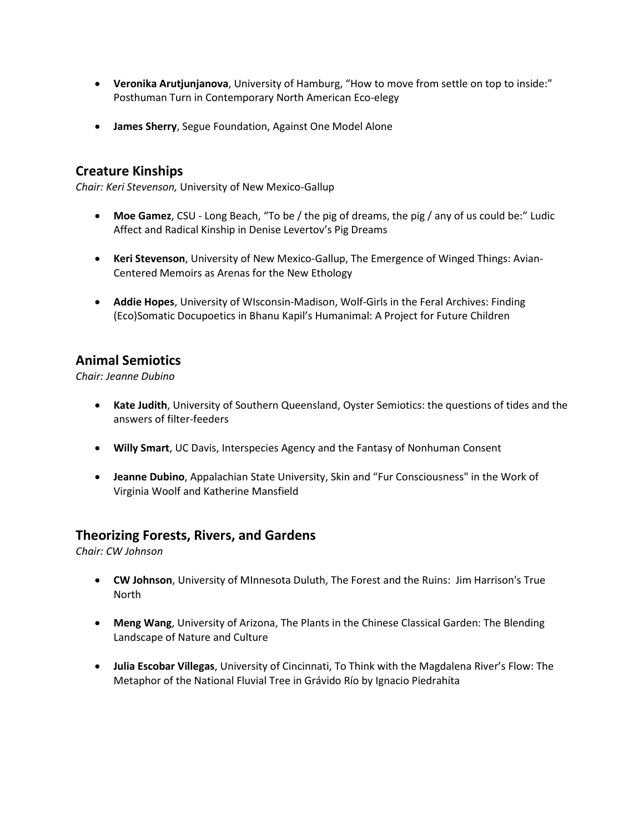- **Veronika Arutjunjanova**, University of Hamburg, "How to move from settle on top to inside:" Posthuman Turn in Contemporary North American Eco-elegy
- **James Sherry**, Segue Foundation, Against One Model Alone

#### **Creature Kinships**

*Chair: Keri Stevenson,* University of New Mexico-Gallup

- **Moe Gamez**, CSU Long Beach, "To be / the pig of dreams, the pig / any of us could be:" Ludic Affect and Radical Kinship in Denise Levertov's Pig Dreams
- **Keri Stevenson**, University of New Mexico-Gallup, The Emergence of Winged Things: Avian-Centered Memoirs as Arenas for the New Ethology
- **Addie Hopes**, University of WIsconsin-Madison, Wolf-Girls in the Feral Archives: Finding (Eco)Somatic Docupoetics in Bhanu Kapil's Humanimal: A Project for Future Children

## **Animal Semiotics**

*Chair: Jeanne Dubino*

- **Kate Judith**, University of Southern Queensland, Oyster Semiotics: the questions of tides and the answers of filter-feeders
- **Willy Smart**, UC Davis, Interspecies Agency and the Fantasy of Nonhuman Consent
- **Jeanne Dubino**, Appalachian State University, Skin and "Fur Consciousness" in the Work of Virginia Woolf and Katherine Mansfield

#### **Theorizing Forests, Rivers, and Gardens**

*Chair: CW Johnson*

- **CW Johnson**, University of MInnesota Duluth, The Forest and the Ruins: Jim Harrison's True North
- **Meng Wang**, University of Arizona, The Plants in the Chinese Classical Garden: The Blending Landscape of Nature and Culture
- **Julia Escobar Villegas**, University of Cincinnati, To Think with the Magdalena River's Flow: The Metaphor of the National Fluvial Tree in Grávido Río by Ignacio Piedrahíta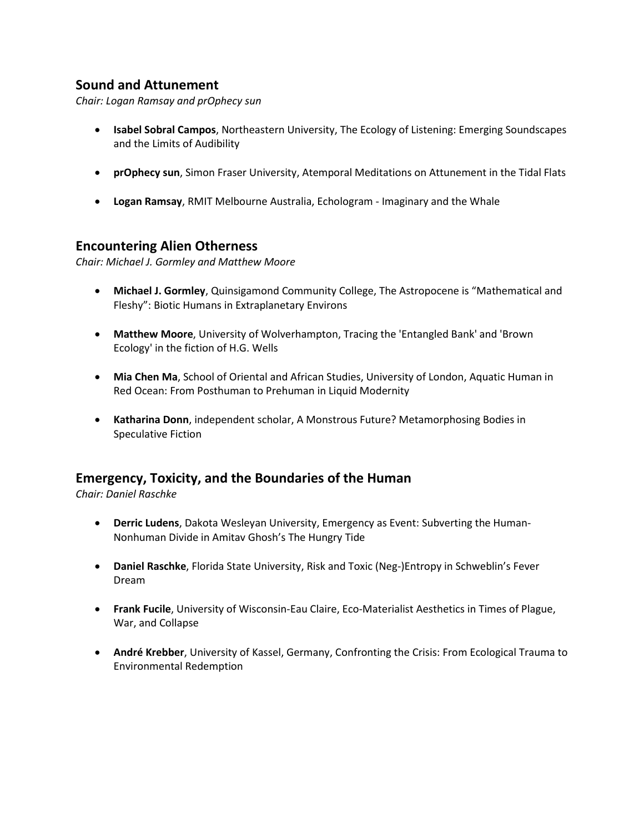## **Sound and Attunement**

*Chair: Logan Ramsay and prOphecy sun*

- **Isabel Sobral Campos**, Northeastern University, The Ecology of Listening: Emerging Soundscapes and the Limits of Audibility
- **prOphecy sun**, Simon Fraser University, Atemporal Meditations on Attunement in the Tidal Flats
- **Logan Ramsay**, RMIT Melbourne Australia, Echologram Imaginary and the Whale

#### **Encountering Alien Otherness**

*Chair: Michael J. Gormley and Matthew Moore*

- **Michael J. Gormley**, Quinsigamond Community College, The Astropocene is "Mathematical and Fleshy": Biotic Humans in Extraplanetary Environs
- **Matthew Moore**, University of Wolverhampton, Tracing the 'Entangled Bank' and 'Brown Ecology' in the fiction of H.G. Wells
- **Mia Chen Ma**, School of Oriental and African Studies, University of London, Aquatic Human in Red Ocean: From Posthuman to Prehuman in Liquid Modernity
- **Katharina Donn**, independent scholar, A Monstrous Future? Metamorphosing Bodies in Speculative Fiction

#### **Emergency, Toxicity, and the Boundaries of the Human**

*Chair: Daniel Raschke*

- **Derric Ludens**, Dakota Wesleyan University, Emergency as Event: Subverting the Human-Nonhuman Divide in Amitav Ghosh's The Hungry Tide
- **Daniel Raschke**, Florida State University, Risk and Toxic (Neg-)Entropy in Schweblin's Fever Dream
- **Frank Fucile**, University of Wisconsin-Eau Claire, Eco-Materialist Aesthetics in Times of Plague, War, and Collapse
- **André Krebber**, University of Kassel, Germany, Confronting the Crisis: From Ecological Trauma to Environmental Redemption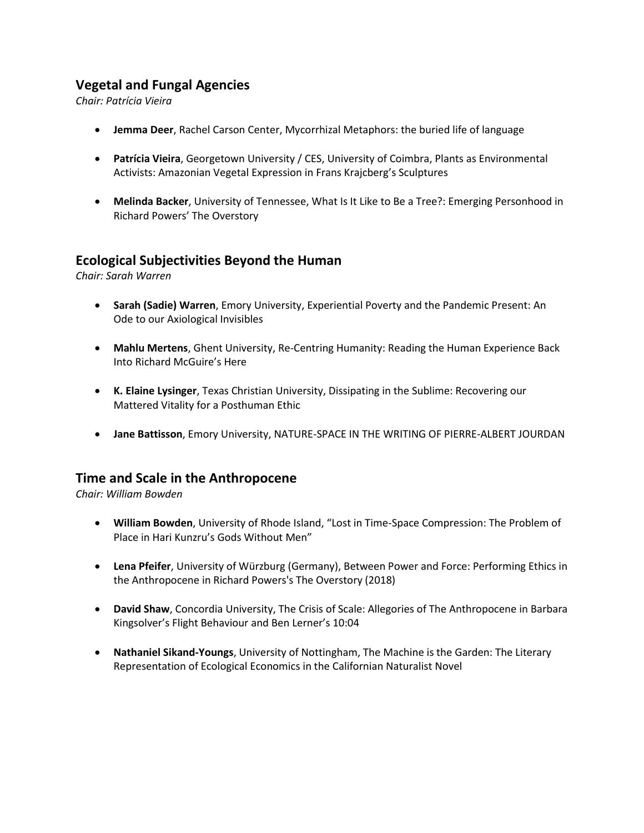## **Vegetal and Fungal Agencies**

*Chair: Patrícia Vieira*

- **Jemma Deer**, Rachel Carson Center, Mycorrhizal Metaphors: the buried life of language
- **Patrícia Vieira**, Georgetown University / CES, University of Coimbra, Plants as Environmental Activists: Amazonian Vegetal Expression in Frans Krajcberg's Sculptures
- **Melinda Backer**, University of Tennessee, What Is It Like to Be a Tree?: Emerging Personhood in Richard Powers' The Overstory

## **Ecological Subjectivities Beyond the Human**

*Chair: Sarah Warren*

- **Sarah (Sadie) Warren**, Emory University, Experiential Poverty and the Pandemic Present: An Ode to our Axiological Invisibles
- **Mahlu Mertens**, Ghent University, Re-Centring Humanity: Reading the Human Experience Back Into Richard McGuire's Here
- **K. Elaine Lysinger**, Texas Christian University, Dissipating in the Sublime: Recovering our Mattered Vitality for a Posthuman Ethic
- **Jane Battisson**, Emory University, NATURE-SPACE IN THE WRITING OF PIERRE-ALBERT JOURDAN

#### **Time and Scale in the Anthropocene**

*Chair: William Bowden*

- **William Bowden**, University of Rhode Island, "Lost in Time-Space Compression: The Problem of Place in Hari Kunzru's Gods Without Men"
- **Lena Pfeifer**, University of Würzburg (Germany), Between Power and Force: Performing Ethics in the Anthropocene in Richard Powers's The Overstory (2018)
- **David Shaw**, Concordia University, The Crisis of Scale: Allegories of The Anthropocene in Barbara Kingsolver's Flight Behaviour and Ben Lerner's 10:04
- **Nathaniel Sikand-Youngs**, University of Nottingham, The Machine is the Garden: The Literary Representation of Ecological Economics in the Californian Naturalist Novel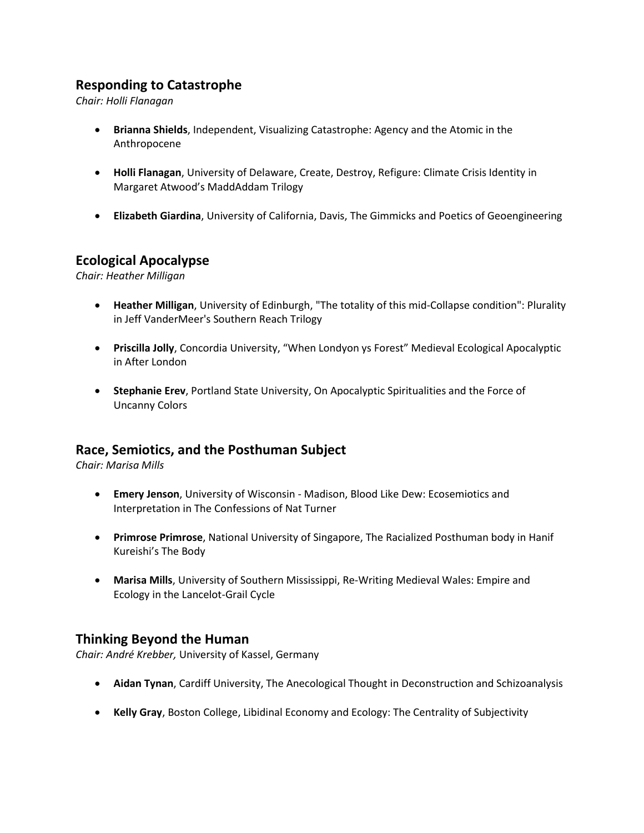## **Responding to Catastrophe**

*Chair: Holli Flanagan*

- **Brianna Shields**, Independent, Visualizing Catastrophe: Agency and the Atomic in the Anthropocene
- **Holli Flanagan**, University of Delaware, Create, Destroy, Refigure: Climate Crisis Identity in Margaret Atwood's MaddAddam Trilogy
- **Elizabeth Giardina**, University of California, Davis, The Gimmicks and Poetics of Geoengineering

#### **Ecological Apocalypse**

*Chair: Heather Milligan*

- **Heather Milligan**, University of Edinburgh, "The totality of this mid-Collapse condition": Plurality in Jeff VanderMeer's Southern Reach Trilogy
- **Priscilla Jolly**, Concordia University, "When Londyon ys Forest" Medieval Ecological Apocalyptic in After London
- **Stephanie Erev**, Portland State University, On Apocalyptic Spiritualities and the Force of Uncanny Colors

#### **Race, Semiotics, and the Posthuman Subject**

*Chair: Marisa Mills*

- **Emery Jenson**, University of Wisconsin Madison, Blood Like Dew: Ecosemiotics and Interpretation in The Confessions of Nat Turner
- **Primrose Primrose**, National University of Singapore, The Racialized Posthuman body in Hanif Kureishi's The Body
- **Marisa Mills**, University of Southern Mississippi, Re-Writing Medieval Wales: Empire and Ecology in the Lancelot-Grail Cycle

#### **Thinking Beyond the Human**

*Chair: André Krebber,* University of Kassel, Germany

- **Aidan Tynan**, Cardiff University, The Anecological Thought in Deconstruction and Schizoanalysis
- **Kelly Gray**, Boston College, Libidinal Economy and Ecology: The Centrality of Subjectivity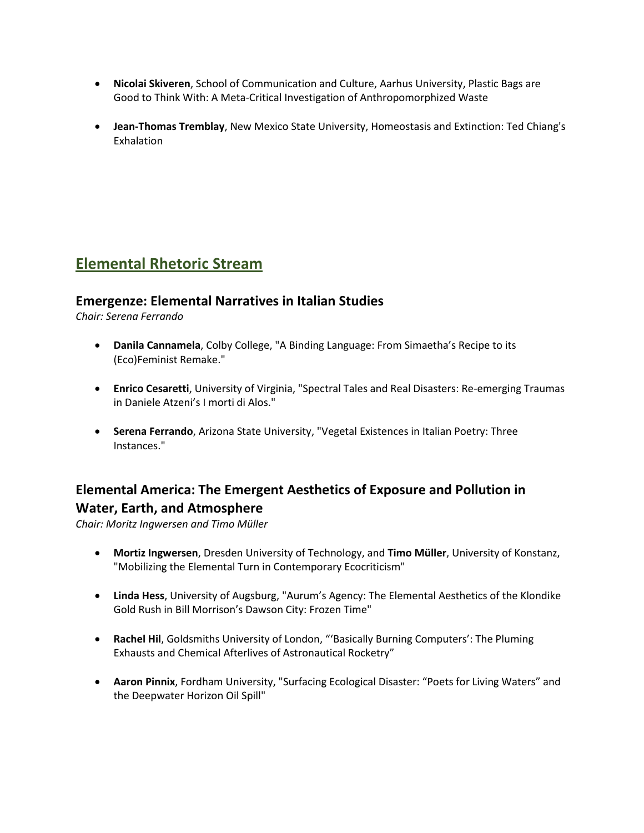- **Nicolai Skiveren**, School of Communication and Culture, Aarhus University, Plastic Bags are Good to Think With: A Meta-Critical Investigation of Anthropomorphized Waste
- **Jean-Thomas Tremblay**, New Mexico State University, Homeostasis and Extinction: Ted Chiang's Exhalation

# **Elemental Rhetoric Stream**

## **Emergenze: Elemental Narratives in Italian Studies**

*Chair: Serena Ferrando*

- **Danila Cannamela**, Colby College, "A Binding Language: From Simaetha's Recipe to its (Eco)Feminist Remake."
- **Enrico Cesaretti**, University of Virginia, "Spectral Tales and Real Disasters: Re-emerging Traumas in Daniele Atzeni's I morti di Alos."
- **Serena Ferrando**, Arizona State University, "Vegetal Existences in Italian Poetry: Three Instances."

## **Elemental America: The Emergent Aesthetics of Exposure and Pollution in Water, Earth, and Atmosphere**

*Chair: Moritz Ingwersen and Timo Müller*

- **Mortiz Ingwersen**, Dresden University of Technology, and **Timo Müller**, University of Konstanz, "Mobilizing the Elemental Turn in Contemporary Ecocriticism"
- **Linda Hess**, University of Augsburg, "Aurum's Agency: The Elemental Aesthetics of the Klondike Gold Rush in Bill Morrison's Dawson City: Frozen Time"
- **Rachel Hil**, Goldsmiths University of London, "'Basically Burning Computers': The Pluming Exhausts and Chemical Afterlives of Astronautical Rocketry"
- **Aaron Pinnix**, Fordham University, "Surfacing Ecological Disaster: "Poets for Living Waters" and the Deepwater Horizon Oil Spill"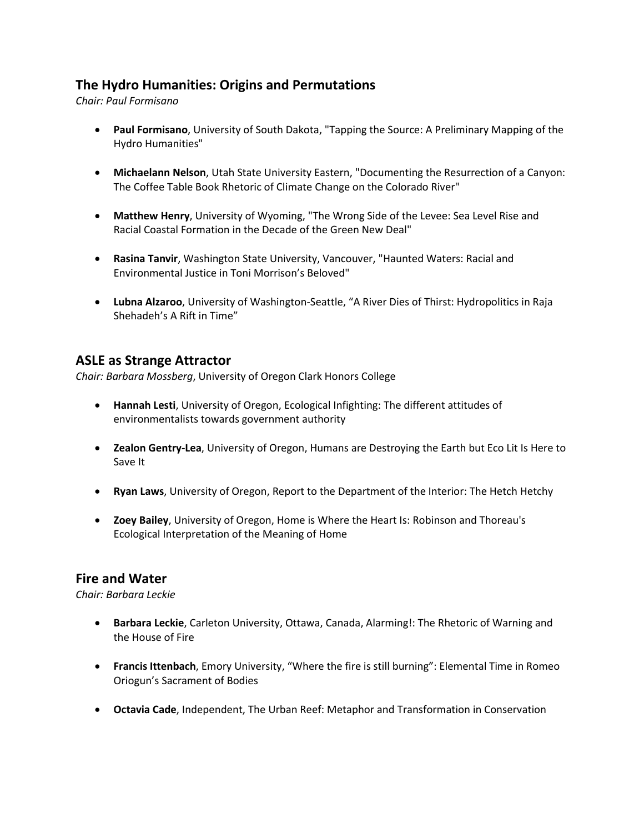## **The Hydro Humanities: Origins and Permutations**

*Chair: Paul Formisano*

- **Paul Formisano**, University of South Dakota, "Tapping the Source: A Preliminary Mapping of the Hydro Humanities"
- **Michaelann Nelson**, Utah State University Eastern, "Documenting the Resurrection of a Canyon: The Coffee Table Book Rhetoric of Climate Change on the Colorado River"
- **Matthew Henry**, University of Wyoming, "The Wrong Side of the Levee: Sea Level Rise and Racial Coastal Formation in the Decade of the Green New Deal"
- **Rasina Tanvir**, Washington State University, Vancouver, "Haunted Waters: Racial and Environmental Justice in Toni Morrison's Beloved"
- **Lubna Alzaroo**, University of Washington-Seattle, "A River Dies of Thirst: Hydropolitics in Raja Shehadeh's A Rift in Time"

#### **ASLE as Strange Attractor**

*Chair: Barbara Mossberg*, University of Oregon Clark Honors College

- **Hannah Lesti**, University of Oregon, Ecological Infighting: The different attitudes of environmentalists towards government authority
- **Zealon Gentry-Lea**, University of Oregon, Humans are Destroying the Earth but Eco Lit Is Here to Save It
- **Ryan Laws**, University of Oregon, Report to the Department of the Interior: The Hetch Hetchy
- **Zoey Bailey**, University of Oregon, Home is Where the Heart Is: Robinson and Thoreau's Ecological Interpretation of the Meaning of Home

#### **Fire and Water**

*Chair: Barbara Leckie*

- **Barbara Leckie**, Carleton University, Ottawa, Canada, Alarming!: The Rhetoric of Warning and the House of Fire
- **Francis Ittenbach**, Emory University, "Where the fire is still burning": Elemental Time in Romeo Oriogun's Sacrament of Bodies
- **Octavia Cade**, Independent, The Urban Reef: Metaphor and Transformation in Conservation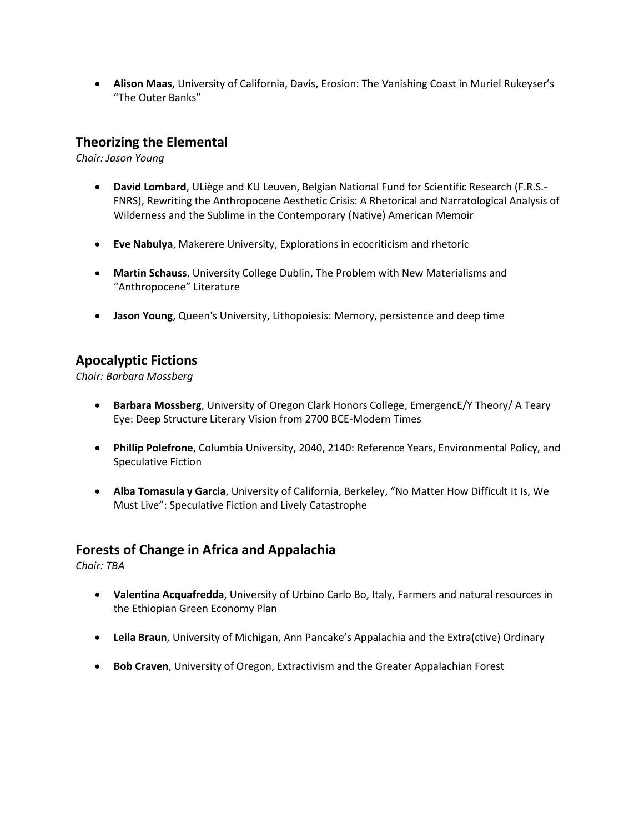• **Alison Maas**, University of California, Davis, Erosion: The Vanishing Coast in Muriel Rukeyser's "The Outer Banks"

## **Theorizing the Elemental**

*Chair: Jason Young*

- **David Lombard**, ULiège and KU Leuven, Belgian National Fund for Scientific Research (F.R.S.- FNRS), Rewriting the Anthropocene Aesthetic Crisis: A Rhetorical and Narratological Analysis of Wilderness and the Sublime in the Contemporary (Native) American Memoir
- **Eve Nabulya**, Makerere University, Explorations in ecocriticism and rhetoric
- **Martin Schauss**, University College Dublin, The Problem with New Materialisms and "Anthropocene" Literature
- **Jason Young**, Queen's University, Lithopoiesis: Memory, persistence and deep time

## **Apocalyptic Fictions**

*Chair: Barbara Mossberg*

- **Barbara Mossberg**, University of Oregon Clark Honors College, EmergencE/Y Theory/ A Teary Eye: Deep Structure Literary Vision from 2700 BCE-Modern Times
- **Phillip Polefrone**, Columbia University, 2040, 2140: Reference Years, Environmental Policy, and Speculative Fiction
- **Alba Tomasula y Garcia**, University of California, Berkeley, "No Matter How Difficult It Is, We Must Live": Speculative Fiction and Lively Catastrophe

## **Forests of Change in Africa and Appalachia**

*Chair: TBA*

- **Valentina Acquafredda**, University of Urbino Carlo Bo, Italy, Farmers and natural resources in the Ethiopian Green Economy Plan
- **Leila Braun**, University of Michigan, Ann Pancake's Appalachia and the Extra(ctive) Ordinary
- **Bob Craven**, University of Oregon, Extractivism and the Greater Appalachian Forest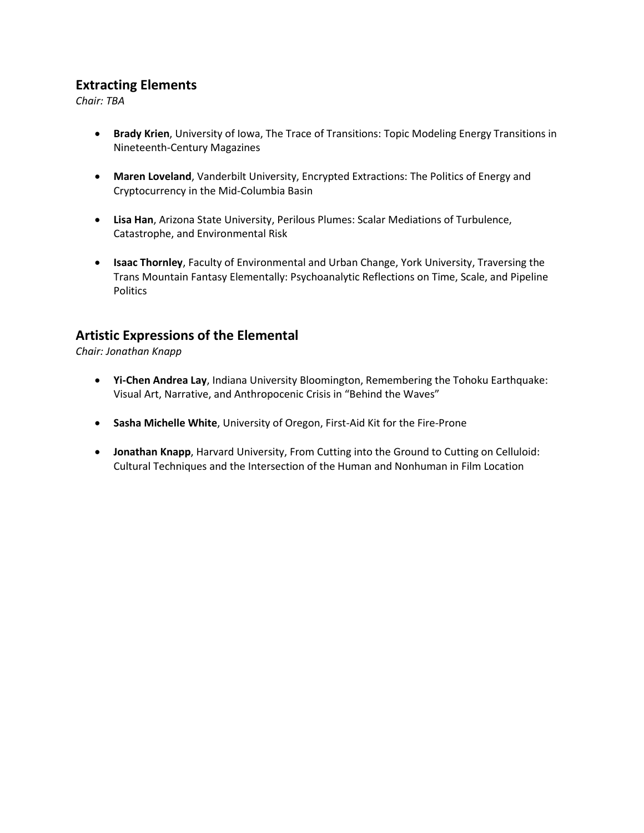## **Extracting Elements**

*Chair: TBA*

- **Brady Krien**, University of Iowa, The Trace of Transitions: Topic Modeling Energy Transitions in Nineteenth-Century Magazines
- **Maren Loveland**, Vanderbilt University, Encrypted Extractions: The Politics of Energy and Cryptocurrency in the Mid-Columbia Basin
- **Lisa Han**, Arizona State University, Perilous Plumes: Scalar Mediations of Turbulence, Catastrophe, and Environmental Risk
- **Isaac Thornley**, Faculty of Environmental and Urban Change, York University, Traversing the Trans Mountain Fantasy Elementally: Psychoanalytic Reflections on Time, Scale, and Pipeline Politics

## **Artistic Expressions of the Elemental**

*Chair: Jonathan Knapp*

- **Yi-Chen Andrea Lay**, Indiana University Bloomington, Remembering the Tohoku Earthquake: Visual Art, Narrative, and Anthropocenic Crisis in "Behind the Waves"
- **Sasha Michelle White**, University of Oregon, First-Aid Kit for the Fire-Prone
- **Jonathan Knapp**, Harvard University, From Cutting into the Ground to Cutting on Celluloid: Cultural Techniques and the Intersection of the Human and Nonhuman in Film Location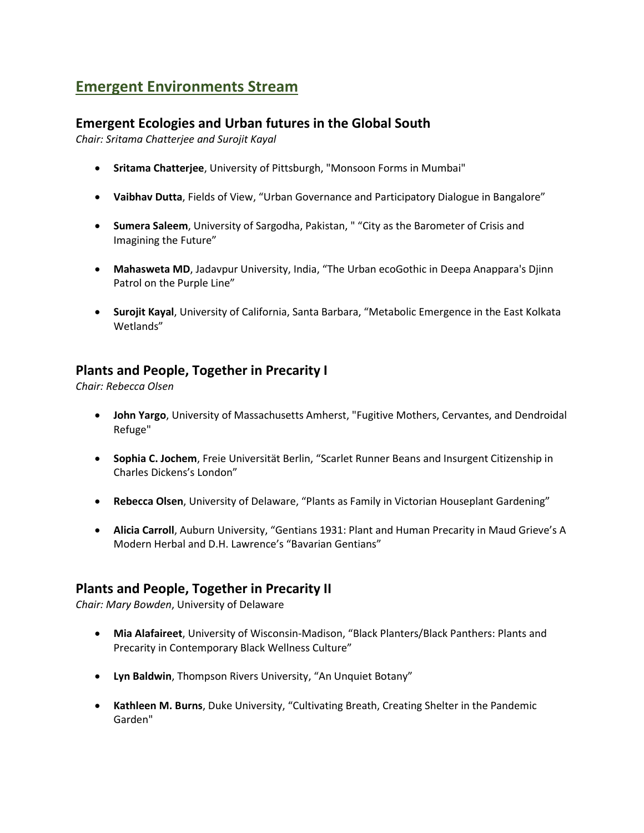# **Emergent Environments Stream**

## **Emergent Ecologies and Urban futures in the Global South**

*Chair: Sritama Chatterjee and Surojit Kayal*

- **Sritama Chatterjee**, University of Pittsburgh, "Monsoon Forms in Mumbai"
- **Vaibhav Dutta**, Fields of View, "Urban Governance and Participatory Dialogue in Bangalore"
- **Sumera Saleem**, University of Sargodha, Pakistan, " "City as the Barometer of Crisis and Imagining the Future"
- **Mahasweta MD**, Jadavpur University, India, "The Urban ecoGothic in Deepa Anappara's Djinn Patrol on the Purple Line"
- **Surojit Kayal**, University of California, Santa Barbara, "Metabolic Emergence in the East Kolkata Wetlands"

## **Plants and People, Together in Precarity I**

*Chair: Rebecca Olsen*

- **John Yargo**, University of Massachusetts Amherst, "Fugitive Mothers, Cervantes, and Dendroidal Refuge"
- **Sophia C. Jochem**, Freie Universität Berlin, "Scarlet Runner Beans and Insurgent Citizenship in Charles Dickens's London"
- **Rebecca Olsen**, University of Delaware, "Plants as Family in Victorian Houseplant Gardening"
- **Alicia Carroll**, Auburn University, "Gentians 1931: Plant and Human Precarity in Maud Grieve's A Modern Herbal and D.H. Lawrence's "Bavarian Gentians"

#### **Plants and People, Together in Precarity II**

*Chair: Mary Bowden*, University of Delaware

- **Mia Alafaireet**, University of Wisconsin-Madison, "Black Planters/Black Panthers: Plants and Precarity in Contemporary Black Wellness Culture"
- **Lyn Baldwin**, Thompson Rivers University, "An Unquiet Botany"
- **Kathleen M. Burns**, Duke University, "Cultivating Breath, Creating Shelter in the Pandemic Garden"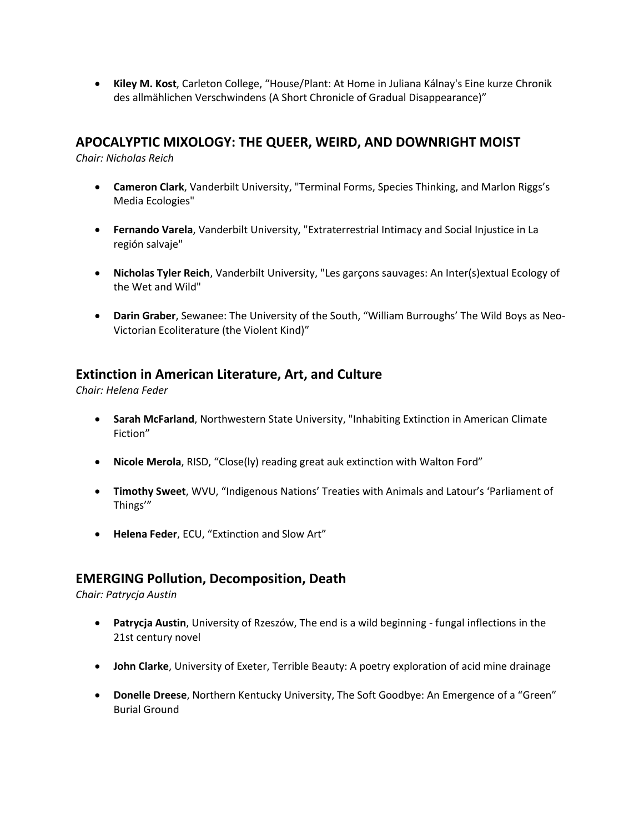• **Kiley M. Kost**, Carleton College, "House/Plant: At Home in Juliana Kálnay's Eine kurze Chronik des allmählichen Verschwindens (A Short Chronicle of Gradual Disappearance)"

#### **APOCALYPTIC MIXOLOGY: THE QUEER, WEIRD, AND DOWNRIGHT MOIST**

*Chair: Nicholas Reich*

- **Cameron Clark**, Vanderbilt University, "Terminal Forms, Species Thinking, and Marlon Riggs's Media Ecologies"
- **Fernando Varela**, Vanderbilt University, "Extraterrestrial Intimacy and Social Injustice in La región salvaje"
- **Nicholas Tyler Reich**, Vanderbilt University, "Les garçons sauvages: An Inter(s)extual Ecology of the Wet and Wild"
- **Darin Graber**, Sewanee: The University of the South, "William Burroughs' The Wild Boys as Neo-Victorian Ecoliterature (the Violent Kind)"

## **Extinction in American Literature, Art, and Culture**

*Chair: Helena Feder*

- **Sarah McFarland**, Northwestern State University, "Inhabiting Extinction in American Climate Fiction"
- **Nicole Merola**, RISD, "Close(ly) reading great auk extinction with Walton Ford"
- **Timothy Sweet**, WVU, "Indigenous Nations' Treaties with Animals and Latour's 'Parliament of Things'"
- **Helena Feder**, ECU, "Extinction and Slow Art"

## **EMERGING Pollution, Decomposition, Death**

*Chair: Patrycja Austin*

- **Patrycja Austin**, University of Rzeszów, The end is a wild beginning fungal inflections in the 21st century novel
- **John Clarke**, University of Exeter, Terrible Beauty: A poetry exploration of acid mine drainage
- **Donelle Dreese**, Northern Kentucky University, The Soft Goodbye: An Emergence of a "Green" Burial Ground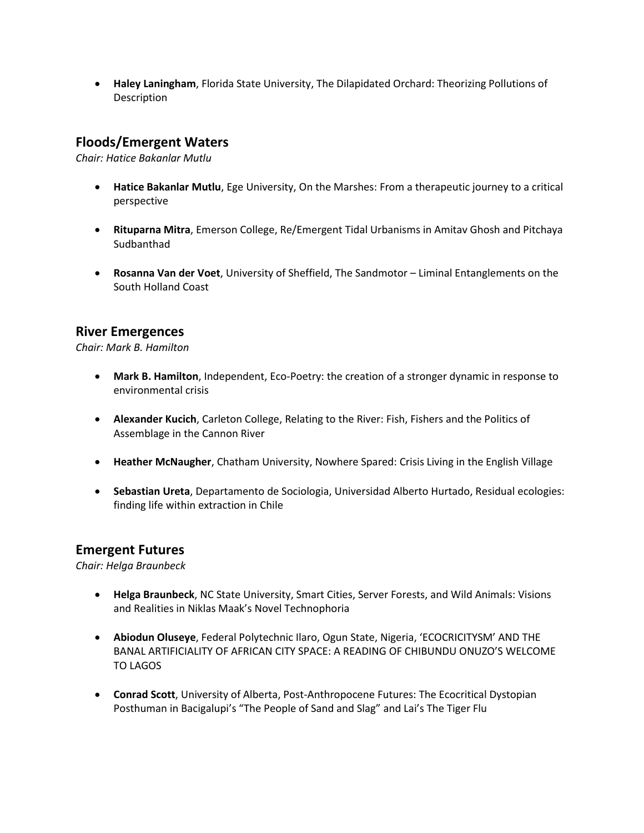• **Haley Laningham**, Florida State University, The Dilapidated Orchard: Theorizing Pollutions of Description

## **Floods/Emergent Waters**

*Chair: Hatice Bakanlar Mutlu*

- **Hatice Bakanlar Mutlu**, Ege University, On the Marshes: From a therapeutic journey to a critical perspective
- **Rituparna Mitra**, Emerson College, Re/Emergent Tidal Urbanisms in Amitav Ghosh and Pitchaya **Sudbanthad**
- **Rosanna Van der Voet**, University of Sheffield, The Sandmotor Liminal Entanglements on the South Holland Coast

## **River Emergences**

*Chair: Mark B. Hamilton*

- **Mark B. Hamilton**, Independent, Eco-Poetry: the creation of a stronger dynamic in response to environmental crisis
- **Alexander Kucich**, Carleton College, Relating to the River: Fish, Fishers and the Politics of Assemblage in the Cannon River
- **Heather McNaugher**, Chatham University, Nowhere Spared: Crisis Living in the English Village
- **Sebastian Ureta**, Departamento de Sociologia, Universidad Alberto Hurtado, Residual ecologies: finding life within extraction in Chile

#### **Emergent Futures**

*Chair: Helga Braunbeck*

- **Helga Braunbeck**, NC State University, Smart Cities, Server Forests, and Wild Animals: Visions and Realities in Niklas Maak's Novel Technophoria
- **Abiodun Oluseye**, Federal Polytechnic Ilaro, Ogun State, Nigeria, 'ECOCRICITYSM' AND THE BANAL ARTIFICIALITY OF AFRICAN CITY SPACE: A READING OF CHIBUNDU ONUZO'S WELCOME TO LAGOS
- **Conrad Scott**, University of Alberta, Post-Anthropocene Futures: The Ecocritical Dystopian Posthuman in Bacigalupi's "The People of Sand and Slag" and Lai's The Tiger Flu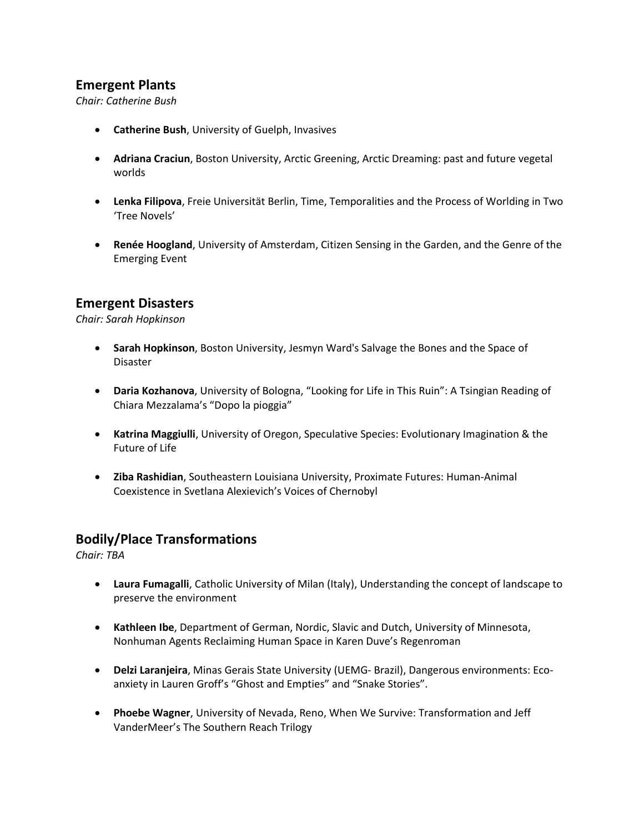## **Emergent Plants**

*Chair: Catherine Bush*

- **Catherine Bush**, University of Guelph, Invasives
- **Adriana Craciun**, Boston University, Arctic Greening, Arctic Dreaming: past and future vegetal worlds
- **Lenka Filipova**, Freie Universität Berlin, Time, Temporalities and the Process of Worlding in Two 'Tree Novels'
- **Renée Hoogland**, University of Amsterdam, Citizen Sensing in the Garden, and the Genre of the Emerging Event

## **Emergent Disasters**

*Chair: Sarah Hopkinson*

- **Sarah Hopkinson**, Boston University, Jesmyn Ward's Salvage the Bones and the Space of Disaster
- **Daria Kozhanova**, University of Bologna, "Looking for Life in This Ruin": A Tsingian Reading of Chiara Mezzalama's "Dopo la pioggia"
- **Katrina Maggiulli**, University of Oregon, Speculative Species: Evolutionary Imagination & the Future of Life
- **Ziba Rashidian**, Southeastern Louisiana University, Proximate Futures: Human-Animal Coexistence in Svetlana Alexievich's Voices of Chernobyl

#### **Bodily/Place Transformations**

*Chair: TBA*

- **Laura Fumagalli**, Catholic University of Milan (Italy), Understanding the concept of landscape to preserve the environment
- **Kathleen Ibe**, Department of German, Nordic, Slavic and Dutch, University of Minnesota, Nonhuman Agents Reclaiming Human Space in Karen Duve's Regenroman
- **Delzi Laranjeira**, Minas Gerais State University (UEMG- Brazil), Dangerous environments: Ecoanxiety in Lauren Groff's "Ghost and Empties" and "Snake Stories".
- **Phoebe Wagner**, University of Nevada, Reno, When We Survive: Transformation and Jeff VanderMeer's The Southern Reach Trilogy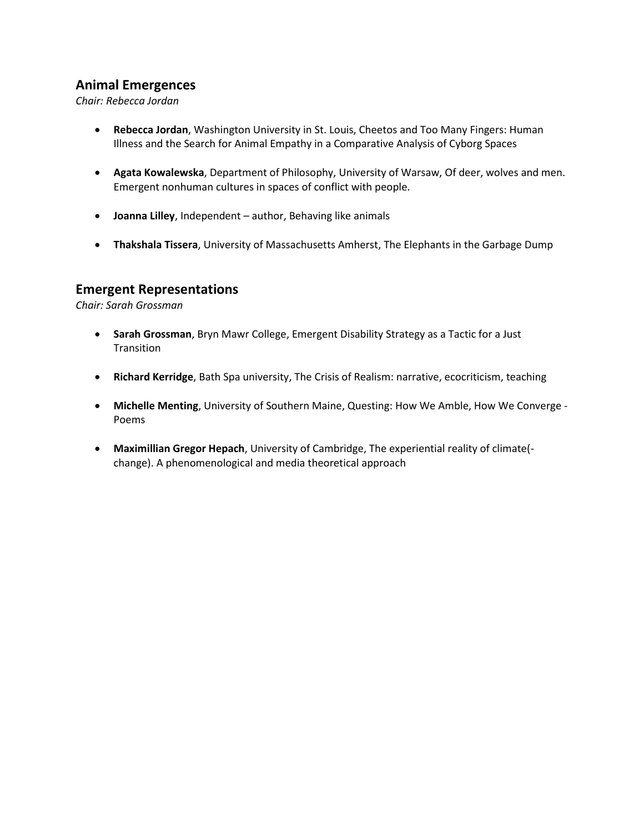## **Animal Emergences**

*Chair: Rebecca Jordan*

- **Rebecca Jordan**, Washington University in St. Louis, Cheetos and Too Many Fingers: Human Illness and the Search for Animal Empathy in a Comparative Analysis of Cyborg Spaces
- **Agata Kowalewska**, Department of Philosophy, University of Warsaw, Of deer, wolves and men. Emergent nonhuman cultures in spaces of conflict with people.
- **Joanna Lilley**, Independent author, Behaving like animals
- **Thakshala Tissera**, University of Massachusetts Amherst, The Elephants in the Garbage Dump

#### **Emergent Representations**

*Chair: Sarah Grossman*

- **Sarah Grossman**, Bryn Mawr College, Emergent Disability Strategy as a Tactic for a Just **Transition**
- **Richard Kerridge**, Bath Spa university, The Crisis of Realism: narrative, ecocriticism, teaching
- **Michelle Menting**, University of Southern Maine, Questing: How We Amble, How We Converge Poems
- **Maximillian Gregor Hepach**, University of Cambridge, The experiential reality of climate( change). A phenomenological and media theoretical approach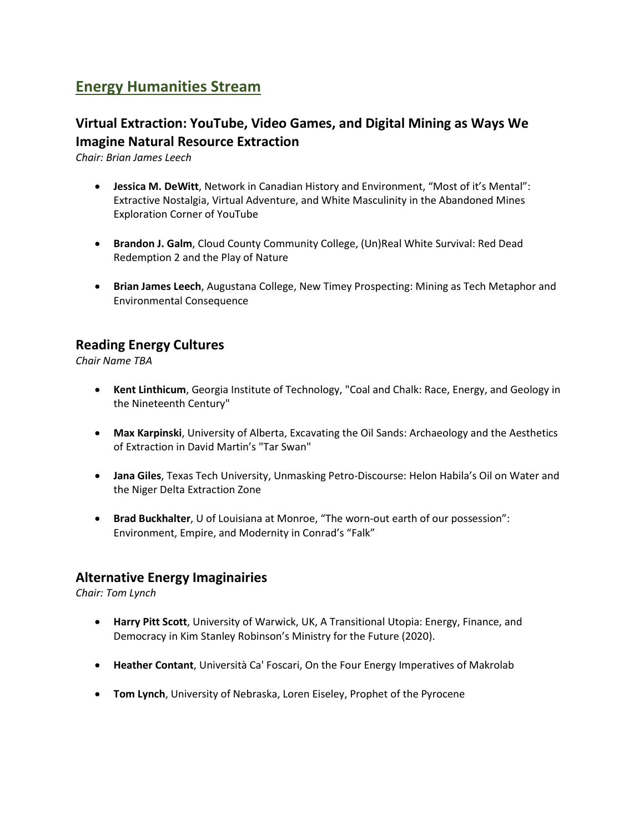# **Energy Humanities Stream**

## **Virtual Extraction: YouTube, Video Games, and Digital Mining as Ways We Imagine Natural Resource Extraction**

*Chair: Brian James Leech*

- **Jessica M. DeWitt**, Network in Canadian History and Environment, "Most of it's Mental": Extractive Nostalgia, Virtual Adventure, and White Masculinity in the Abandoned Mines Exploration Corner of YouTube
- **Brandon J. Galm**, Cloud County Community College, (Un)Real White Survival: Red Dead Redemption 2 and the Play of Nature
- **Brian James Leech**, Augustana College, New Timey Prospecting: Mining as Tech Metaphor and Environmental Consequence

## **Reading Energy Cultures**

*Chair Name TBA*

- **Kent Linthicum**, Georgia Institute of Technology, "Coal and Chalk: Race, Energy, and Geology in the Nineteenth Century"
- **Max Karpinski**, University of Alberta, Excavating the Oil Sands: Archaeology and the Aesthetics of Extraction in David Martin's "Tar Swan"
- **Jana Giles**, Texas Tech University, Unmasking Petro-Discourse: Helon Habila's Oil on Water and the Niger Delta Extraction Zone
- **Brad Buckhalter**, U of Louisiana at Monroe, "The worn-out earth of our possession": Environment, Empire, and Modernity in Conrad's "Falk"

## **Alternative Energy Imaginairies**

*Chair: Tom Lynch*

- **Harry Pitt Scott**, University of Warwick, UK, A Transitional Utopia: Energy, Finance, and Democracy in Kim Stanley Robinson's Ministry for the Future (2020).
- **Heather Contant**, Università Ca' Foscari, On the Four Energy Imperatives of Makrolab
- **Tom Lynch**, University of Nebraska, Loren Eiseley, Prophet of the Pyrocene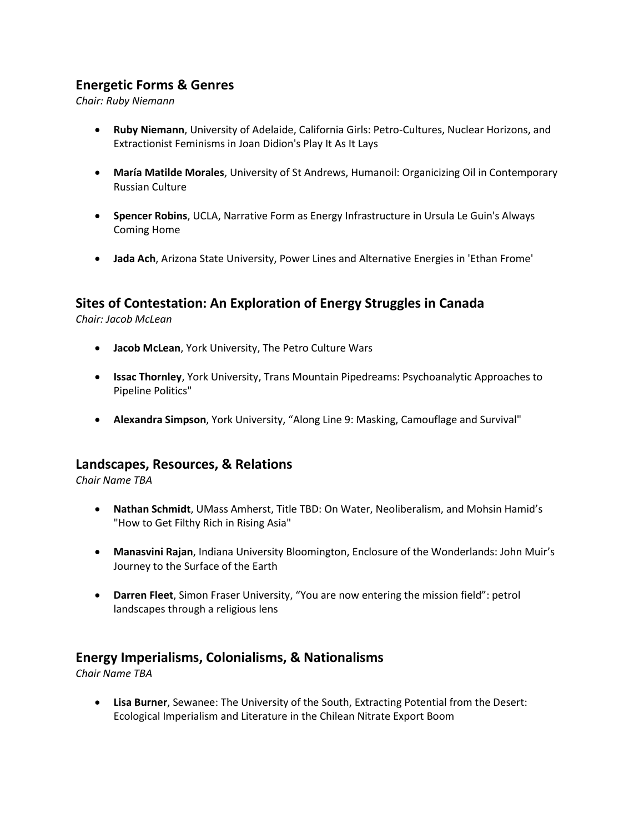## **Energetic Forms & Genres**

*Chair: Ruby Niemann*

- **Ruby Niemann**, University of Adelaide, California Girls: Petro-Cultures, Nuclear Horizons, and Extractionist Feminisms in Joan Didion's Play It As It Lays
- **María Matilde Morales**, University of St Andrews, Humanoil: Organicizing Oil in Contemporary Russian Culture
- **Spencer Robins**, UCLA, Narrative Form as Energy Infrastructure in Ursula Le Guin's Always Coming Home
- **Jada Ach**, Arizona State University, Power Lines and Alternative Energies in 'Ethan Frome'

## **Sites of Contestation: An Exploration of Energy Struggles in Canada**

*Chair: Jacob McLean*

- **Jacob McLean**, York University, The Petro Culture Wars
- **Issac Thornley**, York University, Trans Mountain Pipedreams: Psychoanalytic Approaches to Pipeline Politics"
- **Alexandra Simpson**, York University, "Along Line 9: Masking, Camouflage and Survival"

#### **Landscapes, Resources, & Relations**

*Chair Name TBA*

- **Nathan Schmidt**, UMass Amherst, Title TBD: On Water, Neoliberalism, and Mohsin Hamid's "How to Get Filthy Rich in Rising Asia"
- **Manasvini Rajan**, Indiana University Bloomington, Enclosure of the Wonderlands: John Muir's Journey to the Surface of the Earth
- **Darren Fleet**, Simon Fraser University, "You are now entering the mission field": petrol landscapes through a religious lens

#### **Energy Imperialisms, Colonialisms, & Nationalisms**

*Chair Name TBA*

• **Lisa Burner**, Sewanee: The University of the South, Extracting Potential from the Desert: Ecological Imperialism and Literature in the Chilean Nitrate Export Boom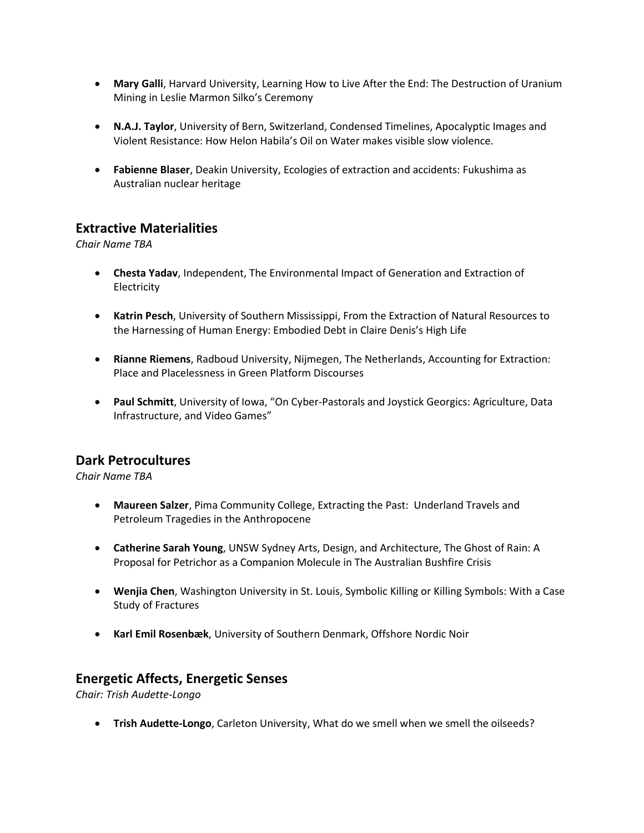- **Mary Galli**, Harvard University, Learning How to Live After the End: The Destruction of Uranium Mining in Leslie Marmon Silko's Ceremony
- **N.A.J. Taylor**, University of Bern, Switzerland, Condensed Timelines, Apocalyptic Images and Violent Resistance: How Helon Habila's Oil on Water makes visible slow violence.
- **Fabienne Blaser**, Deakin University, Ecologies of extraction and accidents: Fukushima as Australian nuclear heritage

## **Extractive Materialities**

*Chair Name TBA*

- **Chesta Yadav**, Independent, The Environmental Impact of Generation and Extraction of Electricity
- **Katrin Pesch**, University of Southern Mississippi, From the Extraction of Natural Resources to the Harnessing of Human Energy: Embodied Debt in Claire Denis's High Life
- **Rianne Riemens**, Radboud University, Nijmegen, The Netherlands, Accounting for Extraction: Place and Placelessness in Green Platform Discourses
- **Paul Schmitt**, University of Iowa, "On Cyber-Pastorals and Joystick Georgics: Agriculture, Data Infrastructure, and Video Games"

## **Dark Petrocultures**

*Chair Name TBA*

- **Maureen Salzer**, Pima Community College, Extracting the Past: Underland Travels and Petroleum Tragedies in the Anthropocene
- **Catherine Sarah Young**, UNSW Sydney Arts, Design, and Architecture, The Ghost of Rain: A Proposal for Petrichor as a Companion Molecule in The Australian Bushfire Crisis
- **Wenjia Chen**, Washington University in St. Louis, Symbolic Killing or Killing Symbols: With a Case Study of Fractures
- **Karl Emil Rosenbæk**, University of Southern Denmark, Offshore Nordic Noir

#### **Energetic Affects, Energetic Senses**

*Chair: Trish Audette-Longo*

• **Trish Audette-Longo**, Carleton University, What do we smell when we smell the oilseeds?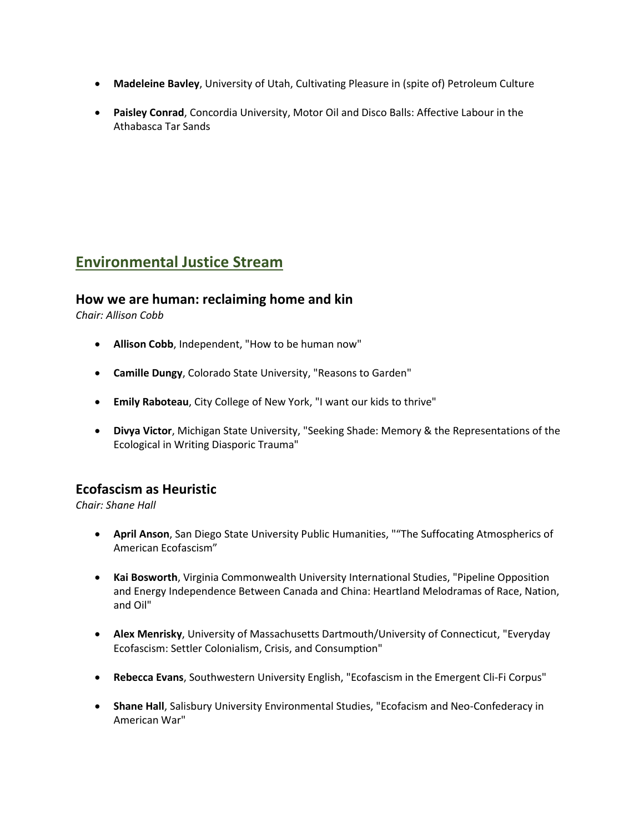- **Madeleine Bavley**, University of Utah, Cultivating Pleasure in (spite of) Petroleum Culture
- **Paisley Conrad**, Concordia University, Motor Oil and Disco Balls: Affective Labour in the Athabasca Tar Sands

# **Environmental Justice Stream**

## **How we are human: reclaiming home and kin**

*Chair: Allison Cobb*

- **Allison Cobb**, Independent, "How to be human now"
- **Camille Dungy**, Colorado State University, "Reasons to Garden"
- **Emily Raboteau**, City College of New York, "I want our kids to thrive"
- **Divya Victor**, Michigan State University, "Seeking Shade: Memory & the Representations of the Ecological in Writing Diasporic Trauma"

## **Ecofascism as Heuristic**

*Chair: Shane Hall*

- **April Anson**, San Diego State University Public Humanities, ""The Suffocating Atmospherics of American Ecofascism"
- **Kai Bosworth**, Virginia Commonwealth University International Studies, "Pipeline Opposition and Energy Independence Between Canada and China: Heartland Melodramas of Race, Nation, and Oil"
- **Alex Menrisky**, University of Massachusetts Dartmouth/University of Connecticut, "Everyday Ecofascism: Settler Colonialism, Crisis, and Consumption"
- **Rebecca Evans**, Southwestern University English, "Ecofascism in the Emergent Cli-Fi Corpus"
- **Shane Hall**, Salisbury University Environmental Studies, "Ecofacism and Neo-Confederacy in American War"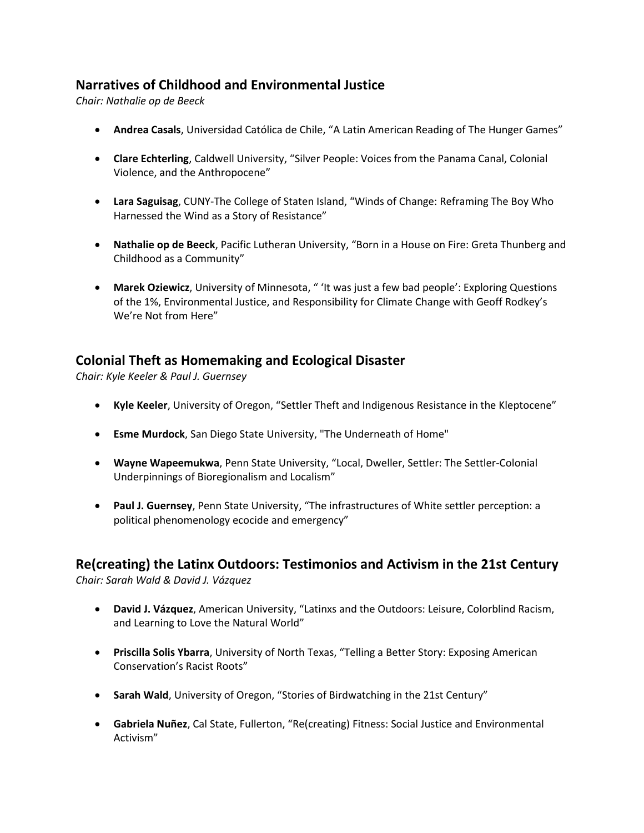## **Narratives of Childhood and Environmental Justice**

*Chair: Nathalie op de Beeck*

- **Andrea Casals**, Universidad Católica de Chile, "A Latin American Reading of The Hunger Games"
- **Clare Echterling**, Caldwell University, "Silver People: Voices from the Panama Canal, Colonial Violence, and the Anthropocene"
- **Lara Saguisag**, CUNY-The College of Staten Island, "Winds of Change: Reframing The Boy Who Harnessed the Wind as a Story of Resistance"
- **Nathalie op de Beeck**, Pacific Lutheran University, "Born in a House on Fire: Greta Thunberg and Childhood as a Community"
- **Marek Oziewicz**, University of Minnesota, " 'It was just a few bad people': Exploring Questions of the 1%, Environmental Justice, and Responsibility for Climate Change with Geoff Rodkey's We're Not from Here"

## **Colonial Theft as Homemaking and Ecological Disaster**

*Chair: Kyle Keeler & Paul J. Guernsey*

- **Kyle Keeler**, University of Oregon, "Settler Theft and Indigenous Resistance in the Kleptocene"
- **Esme Murdock**, San Diego State University, "The Underneath of Home"
- **Wayne Wapeemukwa**, Penn State University, "Local, Dweller, Settler: The Settler-Colonial Underpinnings of Bioregionalism and Localism"
- **Paul J. Guernsey**, Penn State University, "The infrastructures of White settler perception: a political phenomenology ecocide and emergency"

# **Re(creating) the Latinx Outdoors: Testimonios and Activism in the 21st Century**

*Chair: Sarah Wald & David J. Vázquez*

- **David J. Vázquez**, American University, "Latinxs and the Outdoors: Leisure, Colorblind Racism, and Learning to Love the Natural World"
- **Priscilla Solis Ybarra**, University of North Texas, "Telling a Better Story: Exposing American Conservation's Racist Roots"
- **Sarah Wald**, University of Oregon, "Stories of Birdwatching in the 21st Century"
- **Gabriela Nuñez**, Cal State, Fullerton, "Re(creating) Fitness: Social Justice and Environmental Activism"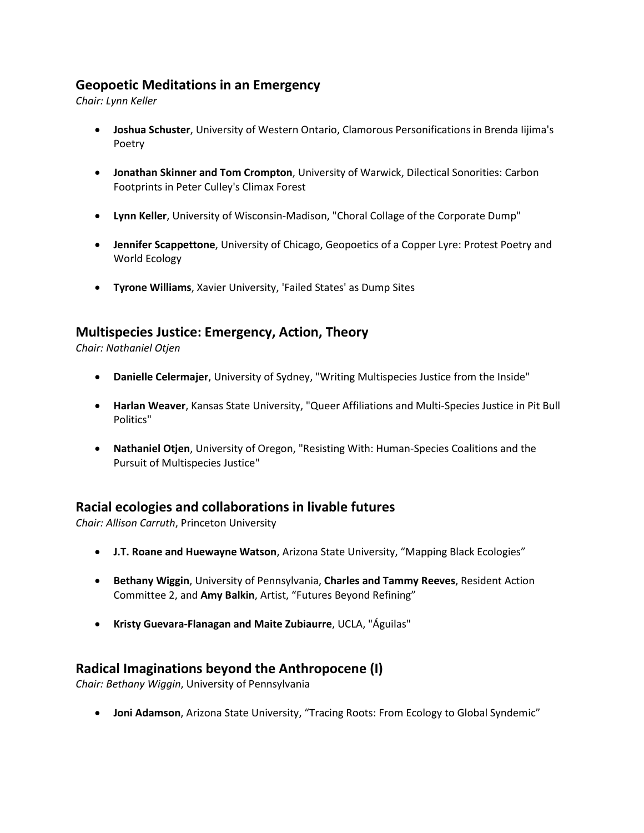## **Geopoetic Meditations in an Emergency**

*Chair: Lynn Keller*

- **Joshua Schuster**, University of Western Ontario, Clamorous Personifications in Brenda Iijima's Poetry
- **Jonathan Skinner and Tom Crompton**, University of Warwick, Dilectical Sonorities: Carbon Footprints in Peter Culley's Climax Forest
- **Lynn Keller**, University of Wisconsin-Madison, "Choral Collage of the Corporate Dump"
- **Jennifer Scappettone**, University of Chicago, Geopoetics of a Copper Lyre: Protest Poetry and World Ecology
- **Tyrone Williams**, Xavier University, 'Failed States' as Dump Sites

## **Multispecies Justice: Emergency, Action, Theory**

*Chair: Nathaniel Otjen*

- **Danielle Celermajer**, University of Sydney, "Writing Multispecies Justice from the Inside"
- **Harlan Weaver**, Kansas State University, "Queer Affiliations and Multi-Species Justice in Pit Bull Politics"
- **Nathaniel Otjen**, University of Oregon, "Resisting With: Human-Species Coalitions and the Pursuit of Multispecies Justice"

## **Racial ecologies and collaborations in livable futures**

*Chair: Allison Carruth*, Princeton University

- **J.T. Roane and Huewayne Watson**, Arizona State University, "Mapping Black Ecologies"
- **Bethany Wiggin**, University of Pennsylvania, **Charles and Tammy Reeves**, Resident Action Committee 2, and **Amy Balkin**, Artist, "Futures Beyond Refining"
- **Kristy Guevara-Flanagan and Maite Zubiaurre**, UCLA, "Águilas"

## **Radical Imaginations beyond the Anthropocene (I)**

*Chair: Bethany Wiggin*, University of Pennsylvania

• **Joni Adamson**, Arizona State University, "Tracing Roots: From Ecology to Global Syndemic"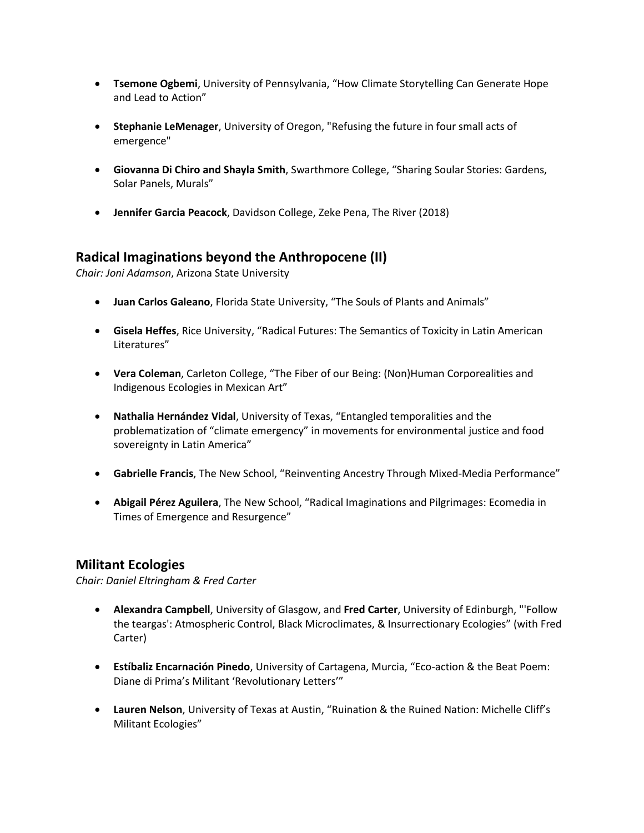- **Tsemone Ogbemi**, University of Pennsylvania, "How Climate Storytelling Can Generate Hope and Lead to Action"
- **Stephanie LeMenager**, University of Oregon, "Refusing the future in four small acts of emergence"
- **Giovanna Di Chiro and Shayla Smith**, Swarthmore College, "Sharing Soular Stories: Gardens, Solar Panels, Murals"
- **Jennifer Garcia Peacock**, Davidson College, Zeke Pena, The River (2018)

## **Radical Imaginations beyond the Anthropocene (II)**

*Chair: Joni Adamson*, Arizona State University

- **Juan Carlos Galeano**, Florida State University, "The Souls of Plants and Animals"
- **Gisela Heffes**, Rice University, "Radical Futures: The Semantics of Toxicity in Latin American Literatures"
- **Vera Coleman**, Carleton College, "The Fiber of our Being: (Non)Human Corporealities and Indigenous Ecologies in Mexican Art"
- **Nathalia Hernández Vidal**, University of Texas, "Entangled temporalities and the problematization of "climate emergency" in movements for environmental justice and food sovereignty in Latin America"
- **Gabrielle Francis**, The New School, "Reinventing Ancestry Through Mixed-Media Performance"
- **Abigail Pérez Aguilera**, The New School, "Radical Imaginations and Pilgrimages: Ecomedia in Times of Emergence and Resurgence"

#### **Militant Ecologies**

*Chair: Daniel Eltringham & Fred Carter*

- **Alexandra Campbell**, University of Glasgow, and **Fred Carter**, University of Edinburgh, "'Follow the teargas': Atmospheric Control, Black Microclimates, & Insurrectionary Ecologies" (with Fred Carter)
- **Estíbaliz Encarnación Pinedo**, University of Cartagena, Murcia, "Eco-action & the Beat Poem: Diane di Prima's Militant 'Revolutionary Letters'"
- **Lauren Nelson**, University of Texas at Austin, "Ruination & the Ruined Nation: Michelle Cliff's Militant Ecologies"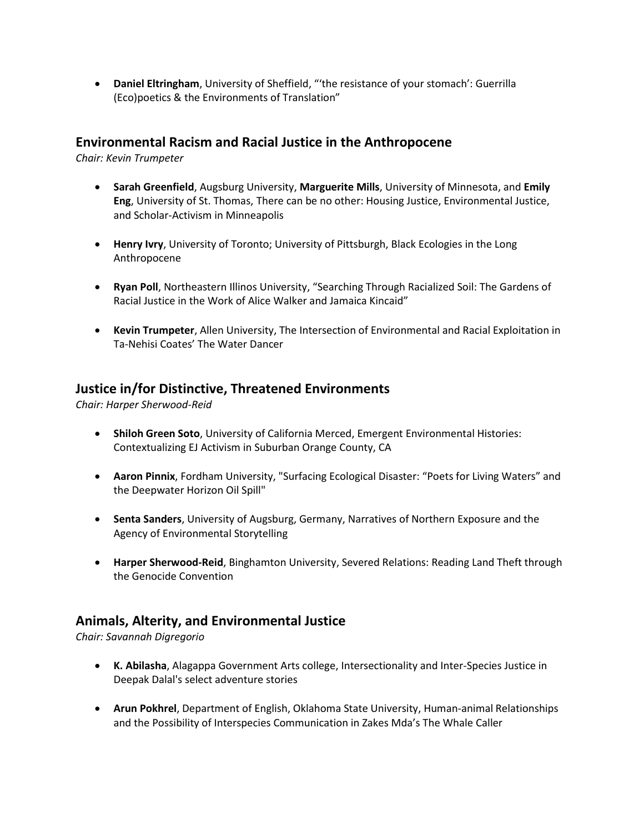• **Daniel Eltringham**, University of Sheffield, "'the resistance of your stomach': Guerrilla (Eco)poetics & the Environments of Translation"

#### **Environmental Racism and Racial Justice in the Anthropocene**

*Chair: Kevin Trumpeter*

- **Sarah Greenfield**, Augsburg University, **Marguerite Mills**, University of Minnesota, and **Emily Eng**, University of St. Thomas, There can be no other: Housing Justice, Environmental Justice, and Scholar-Activism in Minneapolis
- **Henry Ivry**, University of Toronto; University of Pittsburgh, Black Ecologies in the Long Anthropocene
- **Ryan Poll**, Northeastern Illinos University, "Searching Through Racialized Soil: The Gardens of Racial Justice in the Work of Alice Walker and Jamaica Kincaid"
- **Kevin Trumpeter**, Allen University, The Intersection of Environmental and Racial Exploitation in Ta-Nehisi Coates' The Water Dancer

## **Justice in/for Distinctive, Threatened Environments**

*Chair: Harper Sherwood-Reid*

- **Shiloh Green Soto**, University of California Merced, Emergent Environmental Histories: Contextualizing EJ Activism in Suburban Orange County, CA
- **Aaron Pinnix**, Fordham University, "Surfacing Ecological Disaster: "Poets for Living Waters" and the Deepwater Horizon Oil Spill"
- **Senta Sanders**, University of Augsburg, Germany, Narratives of Northern Exposure and the Agency of Environmental Storytelling
- **Harper Sherwood-Reid**, Binghamton University, Severed Relations: Reading Land Theft through the Genocide Convention

## **Animals, Alterity, and Environmental Justice**

*Chair: Savannah Digregorio*

- **K. Abilasha**, Alagappa Government Arts college, Intersectionality and Inter-Species Justice in Deepak Dalal's select adventure stories
- **Arun Pokhrel**, Department of English, Oklahoma State University, Human-animal Relationships and the Possibility of Interspecies Communication in Zakes Mda's The Whale Caller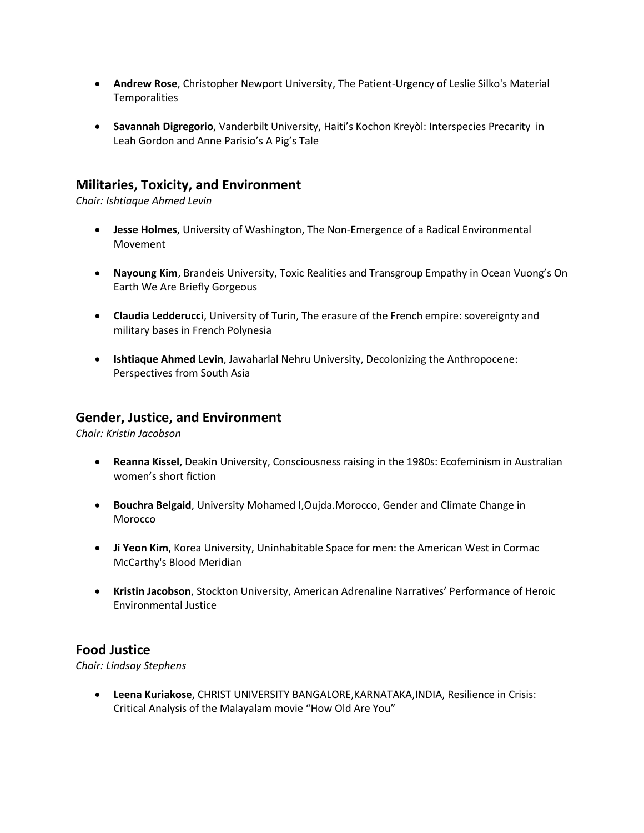- **Andrew Rose**, Christopher Newport University, The Patient-Urgency of Leslie Silko's Material **Temporalities**
- **Savannah Digregorio**, Vanderbilt University, Haiti's Kochon Kreyòl: Interspecies Precarity in Leah Gordon and Anne Parisio's A Pig's Tale

## **Militaries, Toxicity, and Environment**

*Chair: Ishtiaque Ahmed Levin*

- **Jesse Holmes**, University of Washington, The Non-Emergence of a Radical Environmental Movement
- **Nayoung Kim**, Brandeis University, Toxic Realities and Transgroup Empathy in Ocean Vuong's On Earth We Are Briefly Gorgeous
- **Claudia Ledderucci**, University of Turin, The erasure of the French empire: sovereignty and military bases in French Polynesia
- **Ishtiaque Ahmed Levin**, Jawaharlal Nehru University, Decolonizing the Anthropocene: Perspectives from South Asia

#### **Gender, Justice, and Environment**

*Chair: Kristin Jacobson*

- **Reanna Kissel**, Deakin University, Consciousness raising in the 1980s: Ecofeminism in Australian women's short fiction
- **Bouchra Belgaid**, University Mohamed I,Oujda.Morocco, Gender and Climate Change in Morocco
- **Ji Yeon Kim**, Korea University, Uninhabitable Space for men: the American West in Cormac McCarthy's Blood Meridian
- **Kristin Jacobson**, Stockton University, American Adrenaline Narratives' Performance of Heroic Environmental Justice

## **Food Justice**

*Chair: Lindsay Stephens*

• **Leena Kuriakose**, CHRIST UNIVERSITY BANGALORE,KARNATAKA,INDIA, Resilience in Crisis: Critical Analysis of the Malayalam movie "How Old Are You"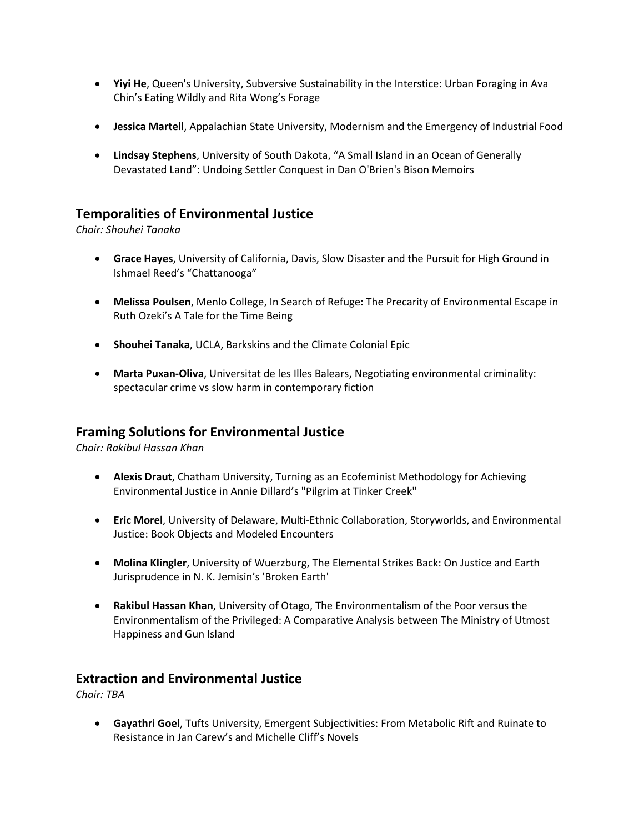- **Yiyi He**, Queen's University, Subversive Sustainability in the Interstice: Urban Foraging in Ava Chin's Eating Wildly and Rita Wong's Forage
- **Jessica Martell**, Appalachian State University, Modernism and the Emergency of Industrial Food
- **Lindsay Stephens**, University of South Dakota, "A Small Island in an Ocean of Generally Devastated Land": Undoing Settler Conquest in Dan O'Brien's Bison Memoirs

## **Temporalities of Environmental Justice**

*Chair: Shouhei Tanaka*

- **Grace Hayes**, University of California, Davis, Slow Disaster and the Pursuit for High Ground in Ishmael Reed's "Chattanooga"
- **Melissa Poulsen**, Menlo College, In Search of Refuge: The Precarity of Environmental Escape in Ruth Ozeki's A Tale for the Time Being
- **Shouhei Tanaka**, UCLA, Barkskins and the Climate Colonial Epic
- **Marta Puxan-Oliva**, Universitat de les Illes Balears, Negotiating environmental criminality: spectacular crime vs slow harm in contemporary fiction

#### **Framing Solutions for Environmental Justice**

*Chair: Rakibul Hassan Khan*

- **Alexis Draut**, Chatham University, Turning as an Ecofeminist Methodology for Achieving Environmental Justice in Annie Dillard's "Pilgrim at Tinker Creek"
- **Eric Morel**, University of Delaware, Multi-Ethnic Collaboration, Storyworlds, and Environmental Justice: Book Objects and Modeled Encounters
- **Molina Klingler**, University of Wuerzburg, The Elemental Strikes Back: On Justice and Earth Jurisprudence in N. K. Jemisin's 'Broken Earth'
- **Rakibul Hassan Khan**, University of Otago, The Environmentalism of the Poor versus the Environmentalism of the Privileged: A Comparative Analysis between The Ministry of Utmost Happiness and Gun Island

## **Extraction and Environmental Justice**

*Chair: TBA*

• **Gayathri Goel**, Tufts University, Emergent Subjectivities: From Metabolic Rift and Ruinate to Resistance in Jan Carew's and Michelle Cliff's Novels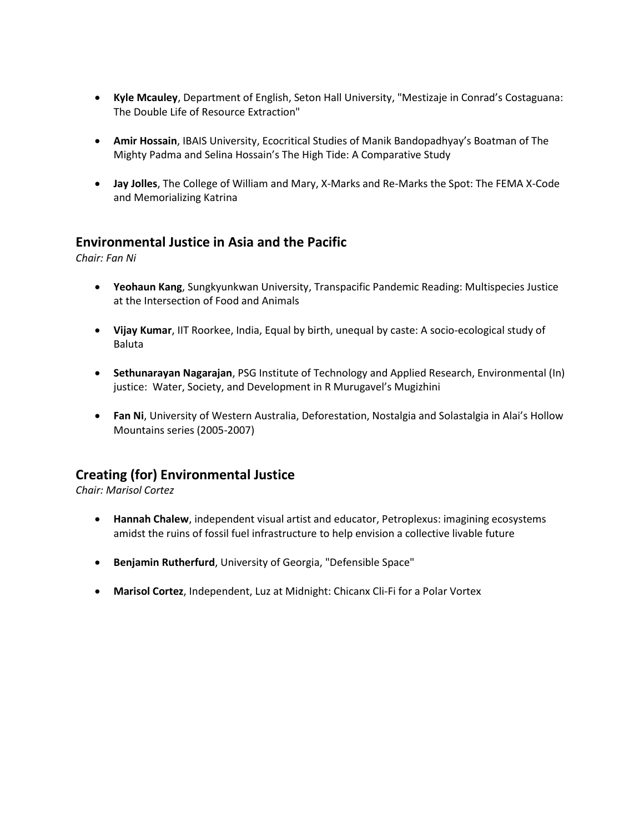- **Kyle Mcauley**, Department of English, Seton Hall University, "Mestizaje in Conrad's Costaguana: The Double Life of Resource Extraction"
- **Amir Hossain**, IBAIS University, Ecocritical Studies of Manik Bandopadhyay's Boatman of The Mighty Padma and Selina Hossain's The High Tide: A Comparative Study
- **Jay Jolles**, The College of William and Mary, X-Marks and Re-Marks the Spot: The FEMA X-Code and Memorializing Katrina

## **Environmental Justice in Asia and the Pacific**

*Chair: Fan Ni*

- **Yeohaun Kang**, Sungkyunkwan University, Transpacific Pandemic Reading: Multispecies Justice at the Intersection of Food and Animals
- **Vijay Kumar**, IIT Roorkee, India, Equal by birth, unequal by caste: A socio-ecological study of Baluta
- **Sethunarayan Nagarajan**, PSG Institute of Technology and Applied Research, Environmental (In) justice: Water, Society, and Development in R Murugavel's Mugizhini
- **Fan Ni**, University of Western Australia, Deforestation, Nostalgia and Solastalgia in Alai's Hollow Mountains series (2005-2007)

## **Creating (for) Environmental Justice**

*Chair: Marisol Cortez*

- **Hannah Chalew**, independent visual artist and educator, Petroplexus: imagining ecosystems amidst the ruins of fossil fuel infrastructure to help envision a collective livable future
- **Benjamin Rutherfurd**, University of Georgia, "Defensible Space"
- **Marisol Cortez**, Independent, Luz at Midnight: Chicanx Cli-Fi for a Polar Vortex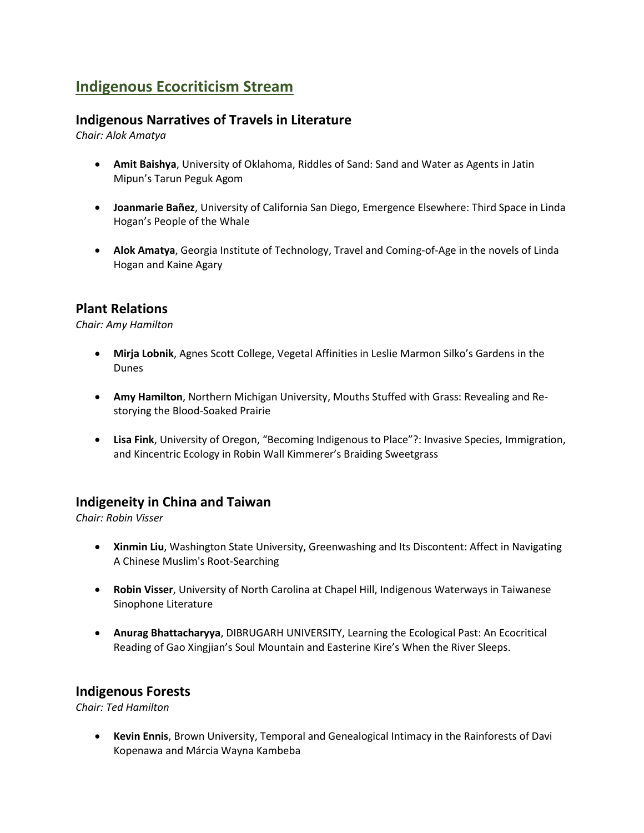# **Indigenous Ecocriticism Stream**

## **Indigenous Narratives of Travels in Literature**

*Chair: Alok Amatya*

- **Amit Baishya**, University of Oklahoma, Riddles of Sand: Sand and Water as Agents in Jatin Mipun's Tarun Peguk Agom
- **Joanmarie Bañez**, University of California San Diego, Emergence Elsewhere: Third Space in Linda Hogan's People of the Whale
- **Alok Amatya**, Georgia Institute of Technology, Travel and Coming-of-Age in the novels of Linda Hogan and Kaine Agary

## **Plant Relations**

*Chair: Amy Hamilton*

- **Mirja Lobnik**, Agnes Scott College, Vegetal Affinities in Leslie Marmon Silko's Gardens in the Dunes
- **Amy Hamilton**, Northern Michigan University, Mouths Stuffed with Grass: Revealing and Restorying the Blood-Soaked Prairie
- **Lisa Fink**, University of Oregon, "Becoming Indigenous to Place"?: Invasive Species, Immigration, and Kincentric Ecology in Robin Wall Kimmerer's Braiding Sweetgrass

#### **Indigeneity in China and Taiwan**

*Chair: Robin Visser*

- **Xinmin Liu**, Washington State University, Greenwashing and Its Discontent: Affect in Navigating A Chinese Muslim's Root-Searching
- **Robin Visser**, University of North Carolina at Chapel Hill, Indigenous Waterways in Taiwanese Sinophone Literature
- **Anurag Bhattacharyya**, DIBRUGARH UNIVERSITY, Learning the Ecological Past: An Ecocritical Reading of Gao Xingjian's Soul Mountain and Easterine Kire's When the River Sleeps.

#### **Indigenous Forests**

*Chair: Ted Hamilton*

• **Kevin Ennis**, Brown University, Temporal and Genealogical Intimacy in the Rainforests of Davi Kopenawa and Márcia Wayna Kambeba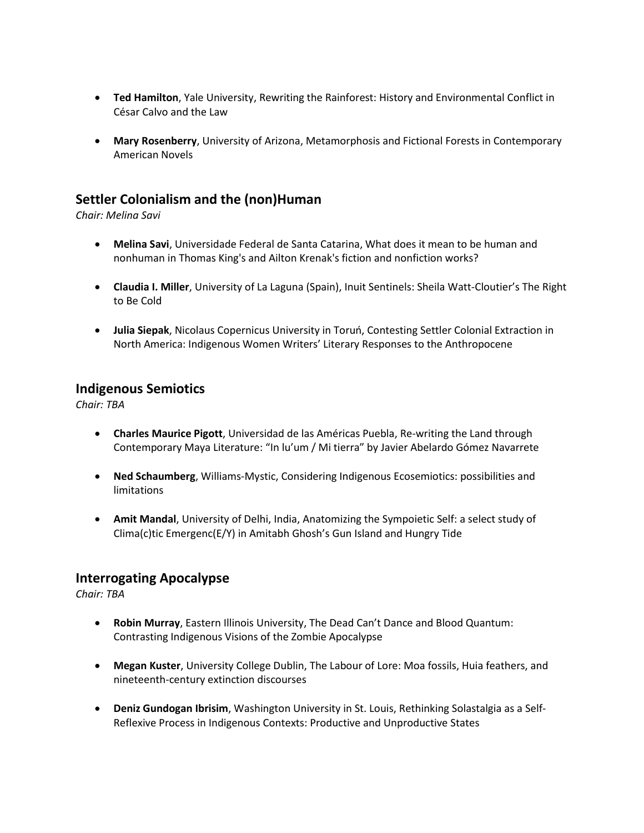- **Ted Hamilton**, Yale University, Rewriting the Rainforest: History and Environmental Conflict in César Calvo and the Law
- **Mary Rosenberry**, University of Arizona, Metamorphosis and Fictional Forests in Contemporary American Novels

## **Settler Colonialism and the (non)Human**

*Chair: Melina Savi*

- **Melina Savi**, Universidade Federal de Santa Catarina, What does it mean to be human and nonhuman in Thomas King's and Ailton Krenak's fiction and nonfiction works?
- **Claudia I. Miller**, University of La Laguna (Spain), Inuit Sentinels: Sheila Watt-Cloutier's The Right to Be Cold
- **Julia Siepak**, Nicolaus Copernicus University in Toruń, Contesting Settler Colonial Extraction in North America: Indigenous Women Writers' Literary Responses to the Anthropocene

#### **Indigenous Semiotics**

*Chair: TBA*

- **Charles Maurice Pigott**, Universidad de las Américas Puebla, Re-writing the Land through Contemporary Maya Literature: "In lu'um / Mi tierra" by Javier Abelardo Gómez Navarrete
- **Ned Schaumberg**, Williams-Mystic, Considering Indigenous Ecosemiotics: possibilities and limitations
- **Amit Mandal**, University of Delhi, India, Anatomizing the Sympoietic Self: a select study of Clima(c)tic Emergenc(E/Y) in Amitabh Ghosh's Gun Island and Hungry Tide

#### **Interrogating Apocalypse**

*Chair: TBA*

- **Robin Murray**, Eastern Illinois University, The Dead Can't Dance and Blood Quantum: Contrasting Indigenous Visions of the Zombie Apocalypse
- **Megan Kuster**, University College Dublin, The Labour of Lore: Moa fossils, Huia feathers, and nineteenth-century extinction discourses
- **Deniz Gundogan Ibrisim**, Washington University in St. Louis, Rethinking Solastalgia as a Self-Reflexive Process in Indigenous Contexts: Productive and Unproductive States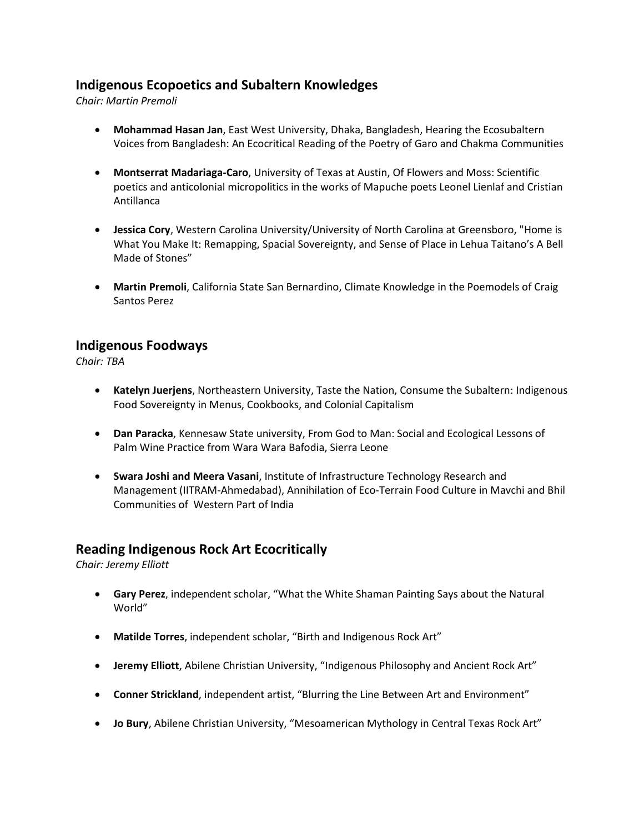## **Indigenous Ecopoetics and Subaltern Knowledges**

*Chair: Martin Premoli*

- **Mohammad Hasan Jan**, East West University, Dhaka, Bangladesh, Hearing the Ecosubaltern Voices from Bangladesh: An Ecocritical Reading of the Poetry of Garo and Chakma Communities
- **Montserrat Madariaga-Caro**, University of Texas at Austin, Of Flowers and Moss: Scientific poetics and anticolonial micropolitics in the works of Mapuche poets Leonel Lienlaf and Cristian Antillanca
- **Jessica Cory**, Western Carolina University/University of North Carolina at Greensboro, "Home is What You Make It: Remapping, Spacial Sovereignty, and Sense of Place in Lehua Taitano's A Bell Made of Stones"
- **Martin Premoli**, California State San Bernardino, Climate Knowledge in the Poemodels of Craig Santos Perez

#### **Indigenous Foodways**

*Chair: TBA*

- **Katelyn Juerjens**, Northeastern University, Taste the Nation, Consume the Subaltern: Indigenous Food Sovereignty in Menus, Cookbooks, and Colonial Capitalism
- **Dan Paracka**, Kennesaw State university, From God to Man: Social and Ecological Lessons of Palm Wine Practice from Wara Wara Bafodia, Sierra Leone
- **Swara Joshi and Meera Vasani**, Institute of Infrastructure Technology Research and Management (IITRAM-Ahmedabad), Annihilation of Eco-Terrain Food Culture in Mavchi and Bhil Communities of Western Part of India

#### **Reading Indigenous Rock Art Ecocritically**

*Chair: Jeremy Elliott*

- **Gary Perez**, independent scholar, "What the White Shaman Painting Says about the Natural World"
- **Matilde Torres**, independent scholar, "Birth and Indigenous Rock Art"
- **Jeremy Elliott**, Abilene Christian University, "Indigenous Philosophy and Ancient Rock Art"
- **Conner Strickland**, independent artist, "Blurring the Line Between Art and Environment"
- **Jo Bury**, Abilene Christian University, "Mesoamerican Mythology in Central Texas Rock Art"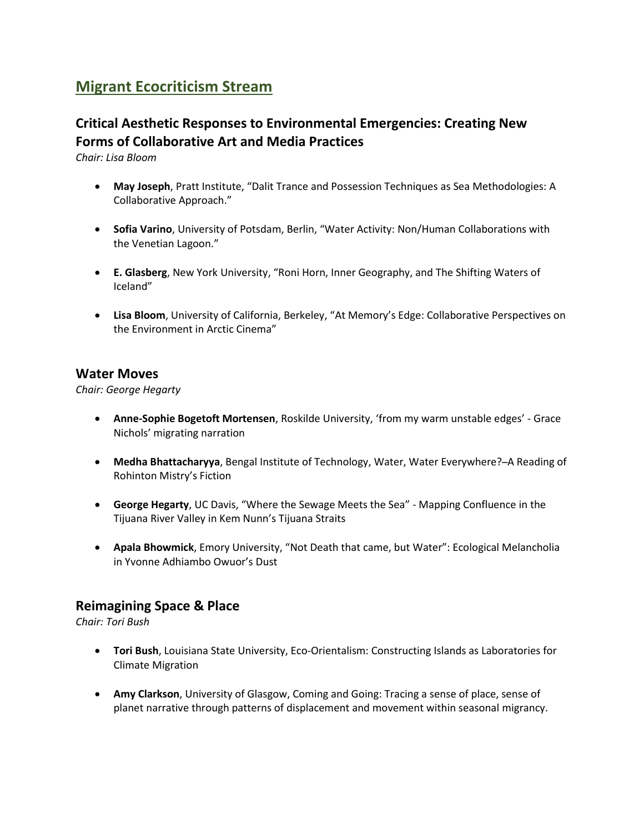# **Migrant Ecocriticism Stream**

## **Critical Aesthetic Responses to Environmental Emergencies: Creating New Forms of Collaborative Art and Media Practices**

*Chair: Lisa Bloom*

- **May Joseph**, Pratt Institute, "Dalit Trance and Possession Techniques as Sea Methodologies: A Collaborative Approach."
- **Sofia Varino**, University of Potsdam, Berlin, "Water Activity: Non/Human Collaborations with the Venetian Lagoon."
- **E. Glasberg**, New York University, "Roni Horn, Inner Geography, and The Shifting Waters of Iceland"
- **Lisa Bloom**, University of California, Berkeley, "At Memory's Edge: Collaborative Perspectives on the Environment in Arctic Cinema"

## **Water Moves**

*Chair: George Hegarty*

- **Anne-Sophie Bogetoft Mortensen**, Roskilde University, 'from my warm unstable edges' Grace Nichols' migrating narration
- **Medha Bhattacharyya**, Bengal Institute of Technology, Water, Water Everywhere? ̶A Reading of Rohinton Mistry's Fiction
- **George Hegarty**, UC Davis, "Where the Sewage Meets the Sea" Mapping Confluence in the Tijuana River Valley in Kem Nunn's Tijuana Straits
- **Apala Bhowmick**, Emory University, "Not Death that came, but Water": Ecological Melancholia in Yvonne Adhiambo Owuor's Dust

## **Reimagining Space & Place**

*Chair: Tori Bush*

- **Tori Bush**, Louisiana State University, Eco-Orientalism: Constructing Islands as Laboratories for Climate Migration
- **Amy Clarkson**, University of Glasgow, Coming and Going: Tracing a sense of place, sense of planet narrative through patterns of displacement and movement within seasonal migrancy.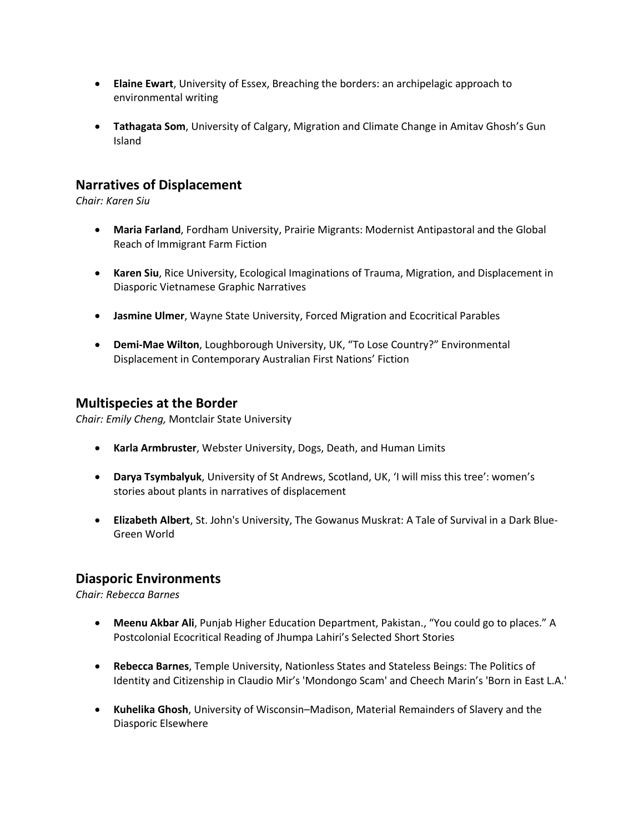- **Elaine Ewart**, University of Essex, Breaching the borders: an archipelagic approach to environmental writing
- **Tathagata Som**, University of Calgary, Migration and Climate Change in Amitav Ghosh's Gun Island

## **Narratives of Displacement**

*Chair: Karen Siu*

- **Maria Farland**, Fordham University, Prairie Migrants: Modernist Antipastoral and the Global Reach of Immigrant Farm Fiction
- **Karen Siu**, Rice University, Ecological Imaginations of Trauma, Migration, and Displacement in Diasporic Vietnamese Graphic Narratives
- **Jasmine Ulmer**, Wayne State University, Forced Migration and Ecocritical Parables
- **Demi-Mae Wilton**, Loughborough University, UK, "To Lose Country?" Environmental Displacement in Contemporary Australian First Nations' Fiction

#### **Multispecies at the Border**

*Chair: Emily Cheng,* Montclair State University

- **Karla Armbruster**, Webster University, Dogs, Death, and Human Limits
- **Darya Tsymbalyuk**, University of St Andrews, Scotland, UK, 'I will miss this tree': women's stories about plants in narratives of displacement
- **Elizabeth Albert**, St. John's University, The Gowanus Muskrat: A Tale of Survival in a Dark Blue-Green World

#### **Diasporic Environments**

*Chair: Rebecca Barnes*

- **Meenu Akbar Ali**, Punjab Higher Education Department, Pakistan., "You could go to places." A Postcolonial Ecocritical Reading of Jhumpa Lahiri's Selected Short Stories
- **Rebecca Barnes**, Temple University, Nationless States and Stateless Beings: The Politics of Identity and Citizenship in Claudio Mir's 'Mondongo Scam' and Cheech Marin's 'Born in East L.A.'
- **Kuhelika Ghosh**, University of Wisconsin–Madison, Material Remainders of Slavery and the Diasporic Elsewhere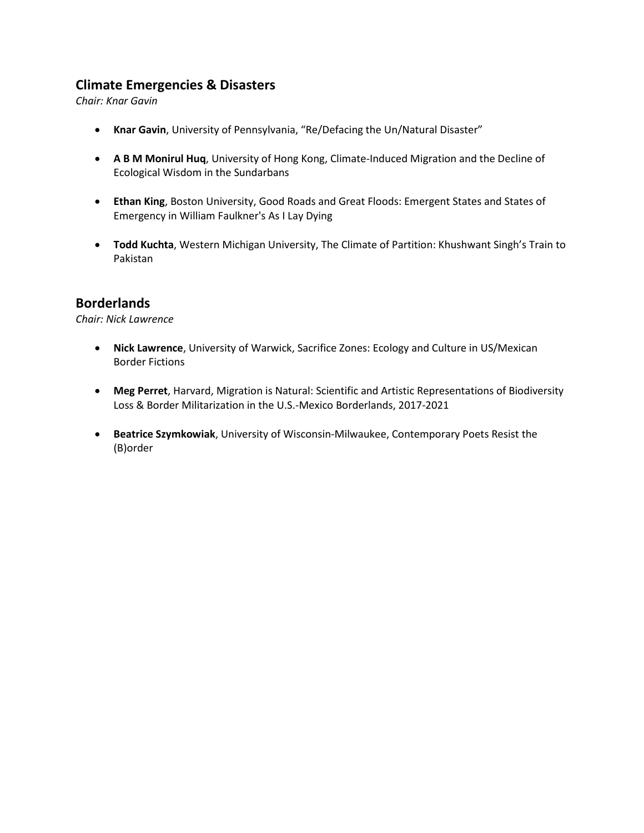## **Climate Emergencies & Disasters**

*Chair: Knar Gavin*

- **Knar Gavin**, University of Pennsylvania, "Re/Defacing the Un/Natural Disaster"
- **A B M Monirul Huq**, University of Hong Kong, Climate-Induced Migration and the Decline of Ecological Wisdom in the Sundarbans
- **Ethan King**, Boston University, Good Roads and Great Floods: Emergent States and States of Emergency in William Faulkner's As I Lay Dying
- **Todd Kuchta**, Western Michigan University, The Climate of Partition: Khushwant Singh's Train to Pakistan

## **Borderlands**

*Chair: Nick Lawrence*

- **Nick Lawrence**, University of Warwick, Sacrifice Zones: Ecology and Culture in US/Mexican Border Fictions
- **Meg Perret**, Harvard, Migration is Natural: Scientific and Artistic Representations of Biodiversity Loss & Border Militarization in the U.S.-Mexico Borderlands, 2017-2021
- **Beatrice Szymkowiak**, University of Wisconsin-Milwaukee, Contemporary Poets Resist the (B)order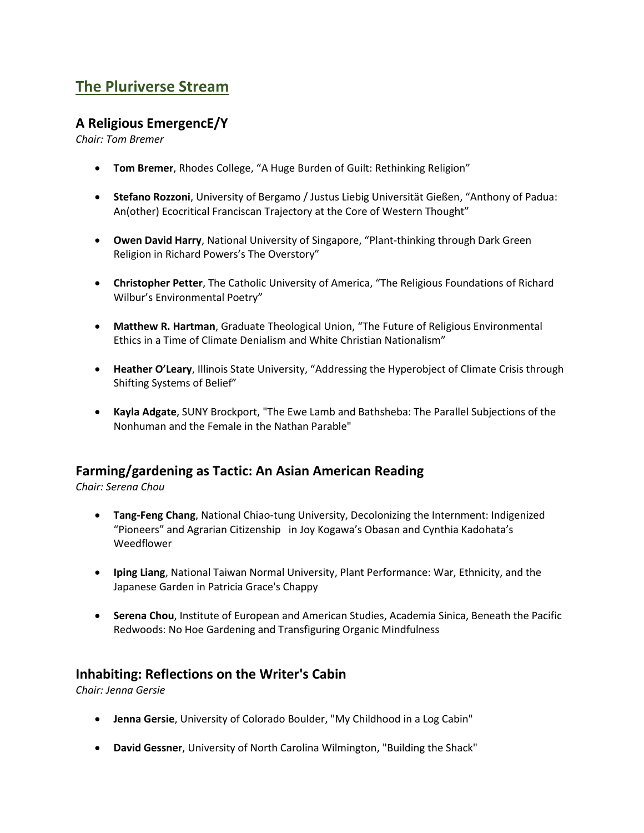# **The Pluriverse Stream**

## **A Religious EmergencE/Y**

*Chair: Tom Bremer*

- **Tom Bremer**, Rhodes College, "A Huge Burden of Guilt: Rethinking Religion"
- **Stefano Rozzoni**, University of Bergamo / Justus Liebig Universität Gießen, "Anthony of Padua: An(other) Ecocritical Franciscan Trajectory at the Core of Western Thought"
- **Owen David Harry**, National University of Singapore, "Plant-thinking through Dark Green Religion in Richard Powers's The Overstory"
- **Christopher Petter**, The Catholic University of America, "The Religious Foundations of Richard Wilbur's Environmental Poetry"
- **Matthew R. Hartman**, Graduate Theological Union, "The Future of Religious Environmental Ethics in a Time of Climate Denialism and White Christian Nationalism"
- **Heather O'Leary**, Illinois State University, "Addressing the Hyperobject of Climate Crisis through Shifting Systems of Belief"
- **Kayla Adgate**, SUNY Brockport, "The Ewe Lamb and Bathsheba: The Parallel Subjections of the Nonhuman and the Female in the Nathan Parable"

## **Farming/gardening as Tactic: An Asian American Reading**

*Chair: Serena Chou*

- **Tang-Feng Chang**, National Chiao-tung University, Decolonizing the Internment: Indigenized "Pioneers" and Agrarian Citizenship in Joy Kogawa's Obasan and Cynthia Kadohata's Weedflower
- **Iping Liang**, National Taiwan Normal University, Plant Performance: War, Ethnicity, and the Japanese Garden in Patricia Grace's Chappy
- **Serena Chou**, Institute of European and American Studies, Academia Sinica, Beneath the Pacific Redwoods: No Hoe Gardening and Transfiguring Organic Mindfulness

## **Inhabiting: Reflections on the Writer's Cabin**

*Chair: Jenna Gersie*

- **Jenna Gersie**, University of Colorado Boulder, "My Childhood in a Log Cabin"
- **David Gessner**, University of North Carolina Wilmington, "Building the Shack"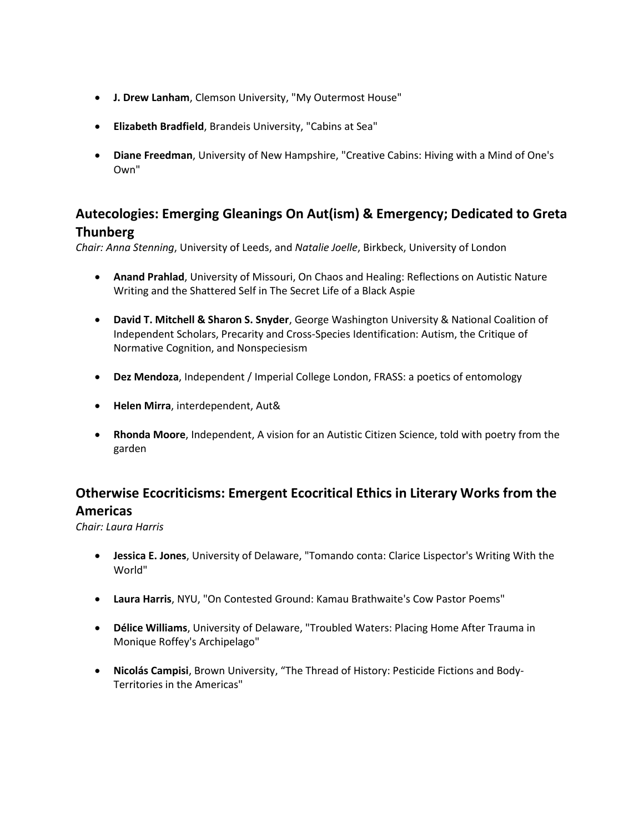- **J. Drew Lanham**, Clemson University, "My Outermost House"
- **Elizabeth Bradfield**, Brandeis University, "Cabins at Sea"
- **Diane Freedman**, University of New Hampshire, "Creative Cabins: Hiving with a Mind of One's Own"

## **Autecologies: Emerging Gleanings On Aut(ism) & Emergency; Dedicated to Greta Thunberg**

*Chair: Anna Stenning*, University of Leeds, and *Natalie Joelle*, Birkbeck, University of London

- **Anand Prahlad**, University of Missouri, On Chaos and Healing: Reflections on Autistic Nature Writing and the Shattered Self in The Secret Life of a Black Aspie
- **David T. Mitchell & Sharon S. Snyder**, George Washington University & National Coalition of Independent Scholars, Precarity and Cross-Species Identification: Autism, the Critique of Normative Cognition, and Nonspeciesism
- **Dez Mendoza**, Independent / Imperial College London, FRASS: a poetics of entomology
- **Helen Mirra**, interdependent, Aut&
- **Rhonda Moore**, Independent, A vision for an Autistic Citizen Science, told with poetry from the garden

# **Otherwise Ecocriticisms: Emergent Ecocritical Ethics in Literary Works from the Americas**

*Chair: Laura Harris*

- **Jessica E. Jones**, University of Delaware, "Tomando conta: Clarice Lispector's Writing With the World"
- **Laura Harris**, NYU, "On Contested Ground: Kamau Brathwaite's Cow Pastor Poems"
- **Délice Williams**, University of Delaware, "Troubled Waters: Placing Home After Trauma in Monique Roffey's Archipelago"
- **Nicolás Campisi**, Brown University, "The Thread of History: Pesticide Fictions and Body-Territories in the Americas"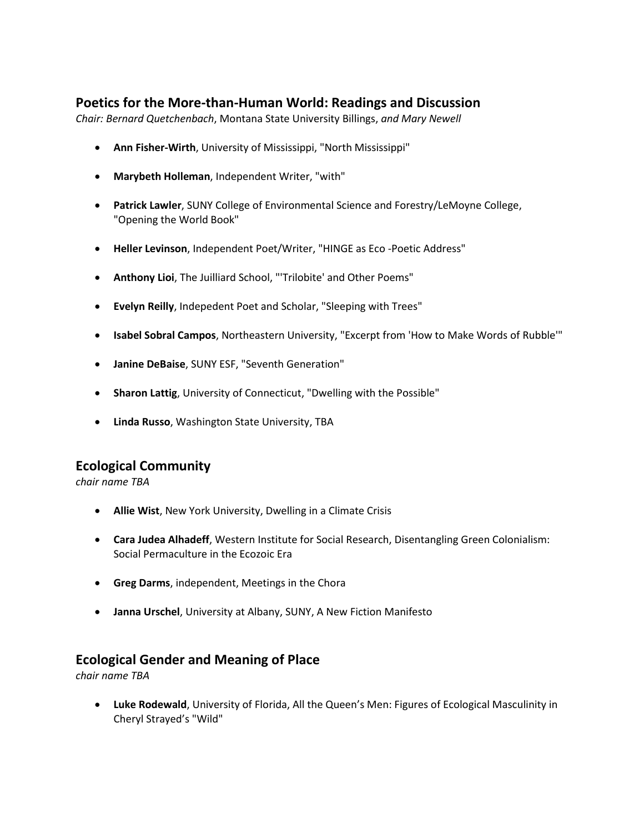## **Poetics for the More-than-Human World: Readings and Discussion**

*Chair: Bernard Quetchenbach*, Montana State University Billings, *and Mary Newell*

- **Ann Fisher-Wirth**, University of Mississippi, "North Mississippi"
- **Marybeth Holleman**, Independent Writer, "with"
- **Patrick Lawler**, SUNY College of Environmental Science and Forestry/LeMoyne College, "Opening the World Book"
- **Heller Levinson**, Independent Poet/Writer, "HINGE as Eco -Poetic Address"
- **Anthony Lioi**, The Juilliard School, "'Trilobite' and Other Poems"
- **Evelyn Reilly**, Indepedent Poet and Scholar, "Sleeping with Trees"
- **Isabel Sobral Campos**, Northeastern University, "Excerpt from 'How to Make Words of Rubble'"
- **Janine DeBaise**, SUNY ESF, "Seventh Generation"
- **Sharon Lattig**, University of Connecticut, "Dwelling with the Possible"
- **Linda Russo**, Washington State University, TBA

#### **Ecological Community**

*chair name TBA*

- **Allie Wist**, New York University, Dwelling in a Climate Crisis
- **Cara Judea Alhadeff**, Western Institute for Social Research, Disentangling Green Colonialism: Social Permaculture in the Ecozoic Era
- **Greg Darms**, independent, Meetings in the Chora
- **Janna Urschel**, University at Albany, SUNY, A New Fiction Manifesto

#### **Ecological Gender and Meaning of Place**

*chair name TBA*

• **Luke Rodewald**, University of Florida, All the Queen's Men: Figures of Ecological Masculinity in Cheryl Strayed's "Wild"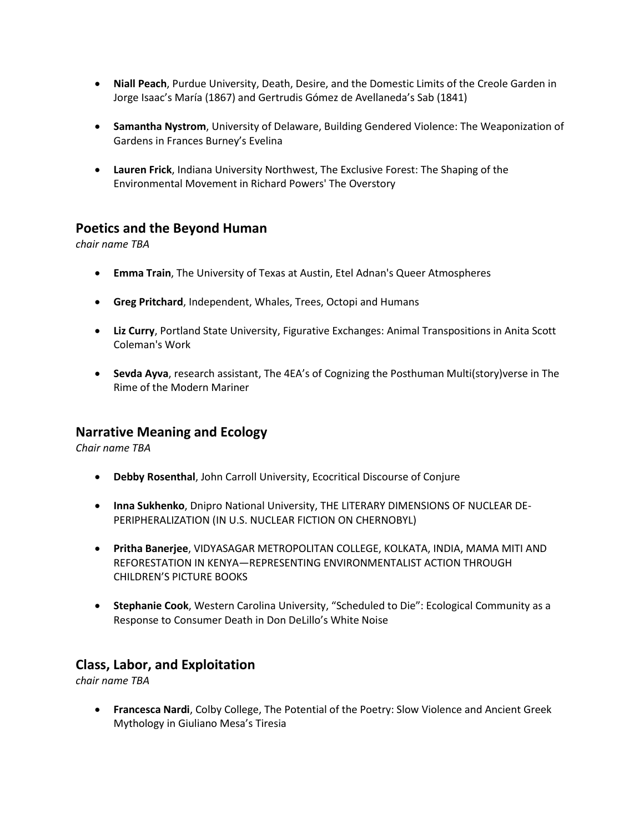- **Niall Peach**, Purdue University, Death, Desire, and the Domestic Limits of the Creole Garden in Jorge Isaac's María (1867) and Gertrudis Gómez de Avellaneda's Sab (1841)
- **Samantha Nystrom**, University of Delaware, Building Gendered Violence: The Weaponization of Gardens in Frances Burney's Evelina
- **Lauren Frick**, Indiana University Northwest, The Exclusive Forest: The Shaping of the Environmental Movement in Richard Powers' The Overstory

## **Poetics and the Beyond Human**

*chair name TBA*

- **Emma Train**, The University of Texas at Austin, Etel Adnan's Queer Atmospheres
- **Greg Pritchard**, Independent, Whales, Trees, Octopi and Humans
- **Liz Curry**, Portland State University, Figurative Exchanges: Animal Transpositions in Anita Scott Coleman's Work
- **Sevda Ayva**, research assistant, The 4EA's of Cognizing the Posthuman Multi(story)verse in The Rime of the Modern Mariner

#### **Narrative Meaning and Ecology**

*Chair name TBA*

- **Debby Rosenthal**, John Carroll University, Ecocritical Discourse of Conjure
- **Inna Sukhenko**, Dnipro National University, THE LITERARY DIMENSIONS OF NUCLEAR DE-PERIPHERALIZATION (IN U.S. NUCLEAR FICTION ON CHERNOBYL)
- **Pritha Banerjee**, VIDYASAGAR METROPOLITAN COLLEGE, KOLKATA, INDIA, MAMA MITI AND REFORESTATION IN KENYA—REPRESENTING ENVIRONMENTALIST ACTION THROUGH CHILDREN'S PICTURE BOOKS
- **Stephanie Cook**, Western Carolina University, "Scheduled to Die": Ecological Community as a Response to Consumer Death in Don DeLillo's White Noise

## **Class, Labor, and Exploitation**

*chair name TBA*

• **Francesca Nardi**, Colby College, The Potential of the Poetry: Slow Violence and Ancient Greek Mythology in Giuliano Mesa's Tiresia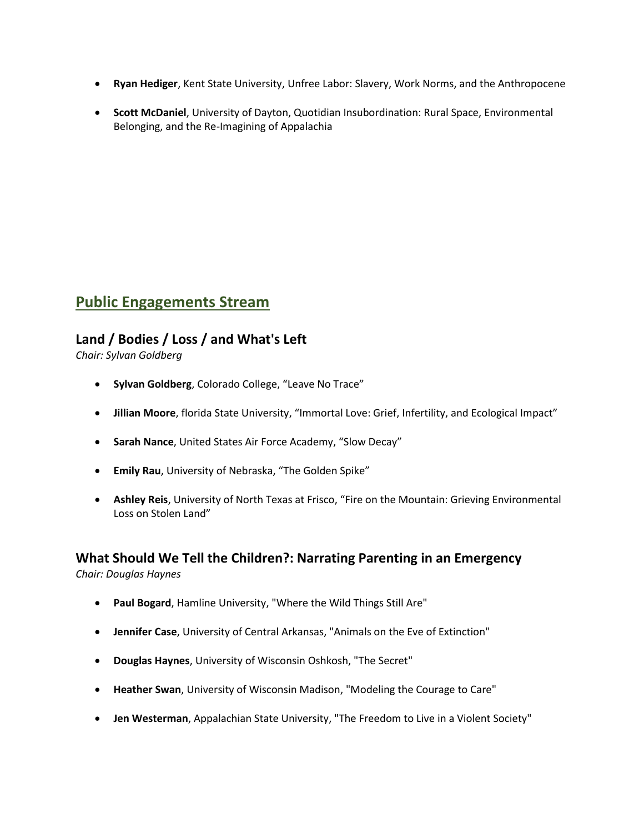- **Ryan Hediger**, Kent State University, Unfree Labor: Slavery, Work Norms, and the Anthropocene
- **Scott McDaniel**, University of Dayton, Quotidian Insubordination: Rural Space, Environmental Belonging, and the Re-Imagining of Appalachia

# **Public Engagements Stream**

## **Land / Bodies / Loss / and What's Left**

*Chair: Sylvan Goldberg*

- **Sylvan Goldberg**, Colorado College, "Leave No Trace"
- **Jillian Moore**, florida State University, "Immortal Love: Grief, Infertility, and Ecological Impact"
- **Sarah Nance**, United States Air Force Academy, "Slow Decay"
- **Emily Rau**, University of Nebraska, "The Golden Spike"
- **Ashley Reis**, University of North Texas at Frisco, "Fire on the Mountain: Grieving Environmental Loss on Stolen Land"

## **What Should We Tell the Children?: Narrating Parenting in an Emergency**

*Chair: Douglas Haynes*

- **Paul Bogard**, Hamline University, "Where the Wild Things Still Are"
- **Jennifer Case**, University of Central Arkansas, "Animals on the Eve of Extinction"
- **Douglas Haynes**, University of Wisconsin Oshkosh, "The Secret"
- **Heather Swan**, University of Wisconsin Madison, "Modeling the Courage to Care"
- **Jen Westerman**, Appalachian State University, "The Freedom to Live in a Violent Society"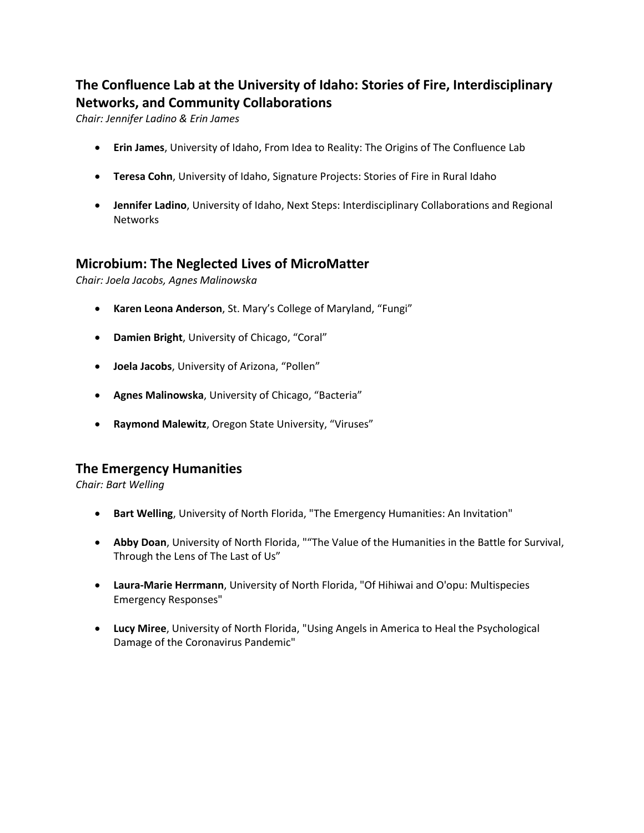# **The Confluence Lab at the University of Idaho: Stories of Fire, Interdisciplinary Networks, and Community Collaborations**

*Chair: Jennifer Ladino & Erin James*

- **Erin James**, University of Idaho, From Idea to Reality: The Origins of The Confluence Lab
- **Teresa Cohn**, University of Idaho, Signature Projects: Stories of Fire in Rural Idaho
- **Jennifer Ladino**, University of Idaho, Next Steps: Interdisciplinary Collaborations and Regional **Networks**

## **Microbium: The Neglected Lives of MicroMatter**

*Chair: Joela Jacobs, Agnes Malinowska*

- **Karen Leona Anderson**, St. Mary's College of Maryland, "Fungi"
- **Damien Bright**, University of Chicago, "Coral"
- **Joela Jacobs**, University of Arizona, "Pollen"
- **Agnes Malinowska**, University of Chicago, "Bacteria"
- **Raymond Malewitz**, Oregon State University, "Viruses"

#### **The Emergency Humanities**

*Chair: Bart Welling*

- **Bart Welling**, University of North Florida, "The Emergency Humanities: An Invitation"
- **Abby Doan**, University of North Florida, ""The Value of the Humanities in the Battle for Survival, Through the Lens of The Last of Us"
- **Laura-Marie Herrmann**, University of North Florida, "Of Hihiwai and O'opu: Multispecies Emergency Responses"
- **Lucy Miree**, University of North Florida, "Using Angels in America to Heal the Psychological Damage of the Coronavirus Pandemic"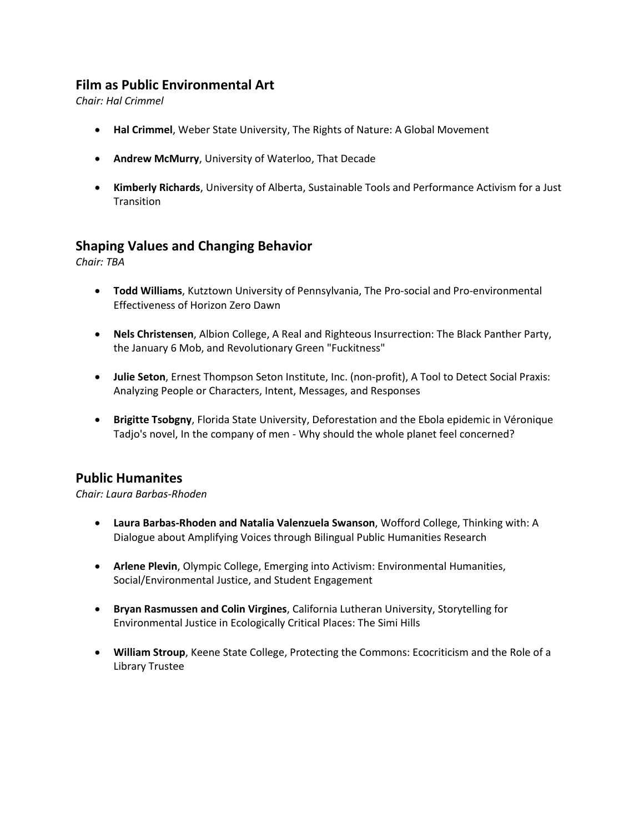## **Film as Public Environmental Art**

*Chair: Hal Crimmel*

- **Hal Crimmel**, Weber State University, The Rights of Nature: A Global Movement
- **Andrew McMurry**, University of Waterloo, That Decade
- **Kimberly Richards**, University of Alberta, Sustainable Tools and Performance Activism for a Just **Transition**

#### **Shaping Values and Changing Behavior**

*Chair: TBA*

- **Todd Williams**, Kutztown University of Pennsylvania, The Pro-social and Pro-environmental Effectiveness of Horizon Zero Dawn
- **Nels Christensen**, Albion College, A Real and Righteous Insurrection: The Black Panther Party, the January 6 Mob, and Revolutionary Green "Fuckitness"
- **Julie Seton**, Ernest Thompson Seton Institute, Inc. (non-profit), A Tool to Detect Social Praxis: Analyzing People or Characters, Intent, Messages, and Responses
- **Brigitte Tsobgny**, Florida State University, Deforestation and the Ebola epidemic in Véronique Tadjo's novel, In the company of men - Why should the whole planet feel concerned?

## **Public Humanites**

*Chair: Laura Barbas-Rhoden*

- **Laura Barbas-Rhoden and Natalia Valenzuela Swanson**, Wofford College, Thinking with: A Dialogue about Amplifying Voices through Bilingual Public Humanities Research
- **Arlene Plevin**, Olympic College, Emerging into Activism: Environmental Humanities, Social/Environmental Justice, and Student Engagement
- **Bryan Rasmussen and Colin Virgines**, California Lutheran University, Storytelling for Environmental Justice in Ecologically Critical Places: The Simi Hills
- **William Stroup**, Keene State College, Protecting the Commons: Ecocriticism and the Role of a Library Trustee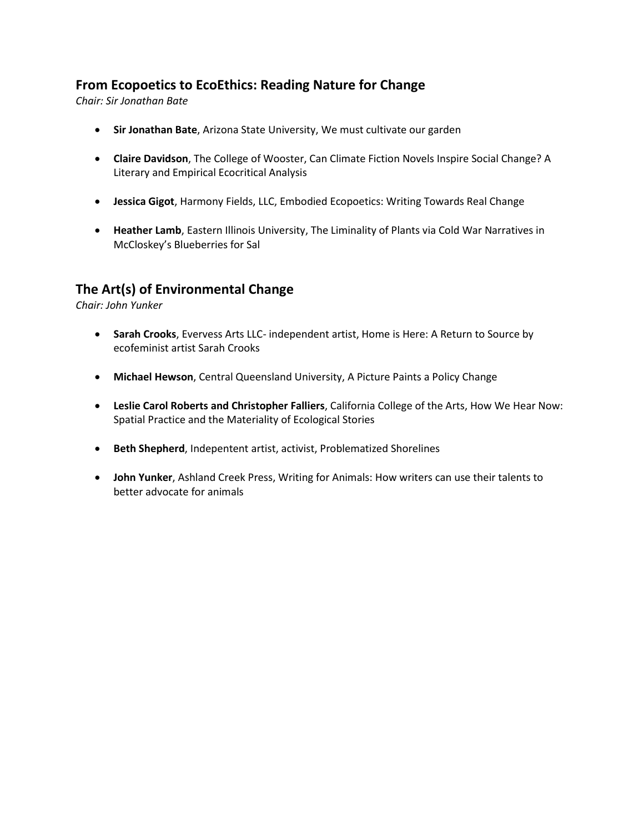## **From Ecopoetics to EcoEthics: Reading Nature for Change**

*Chair: Sir Jonathan Bate*

- **Sir Jonathan Bate**, Arizona State University, We must cultivate our garden
- **Claire Davidson**, The College of Wooster, Can Climate Fiction Novels Inspire Social Change? A Literary and Empirical Ecocritical Analysis
- **Jessica Gigot**, Harmony Fields, LLC, Embodied Ecopoetics: Writing Towards Real Change
- **Heather Lamb**, Eastern Illinois University, The Liminality of Plants via Cold War Narratives in McCloskey's Blueberries for Sal

## **The Art(s) of Environmental Change**

*Chair: John Yunker*

- **Sarah Crooks**, Evervess Arts LLC- independent artist, Home is Here: A Return to Source by ecofeminist artist Sarah Crooks
- **Michael Hewson**, Central Queensland University, A Picture Paints a Policy Change
- **Leslie Carol Roberts and Christopher Falliers**, California College of the Arts, How We Hear Now: Spatial Practice and the Materiality of Ecological Stories
- **Beth Shepherd**, Indepentent artist, activist, Problematized Shorelines
- **John Yunker**, Ashland Creek Press, Writing for Animals: How writers can use their talents to better advocate for animals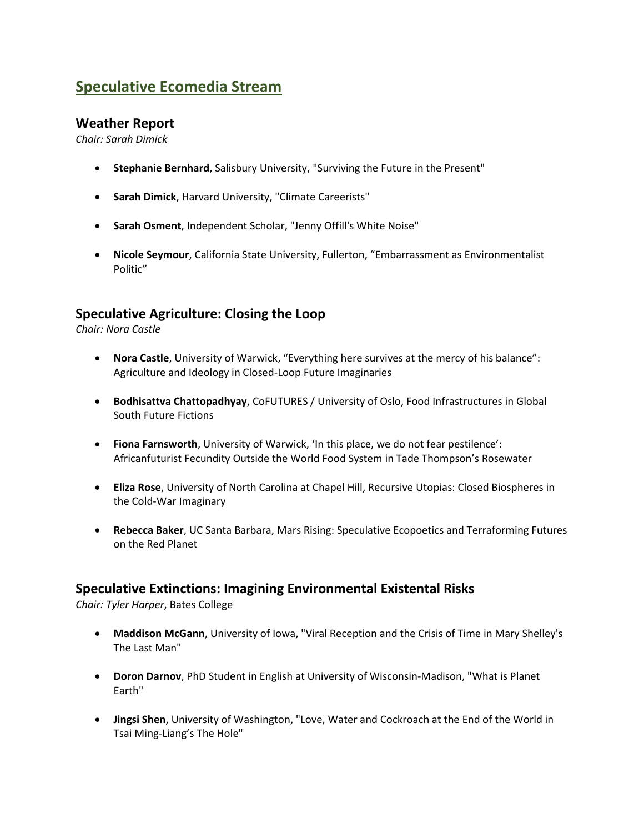# **Speculative Ecomedia Stream**

#### **Weather Report**

*Chair: Sarah Dimick*

- **Stephanie Bernhard**, Salisbury University, "Surviving the Future in the Present"
- **Sarah Dimick**, Harvard University, "Climate Careerists"
- **Sarah Osment**, Independent Scholar, "Jenny Offill's White Noise"
- **Nicole Seymour**, California State University, Fullerton, "Embarrassment as Environmentalist Politic"

## **Speculative Agriculture: Closing the Loop**

*Chair: Nora Castle*

- **Nora Castle**, University of Warwick, "Everything here survives at the mercy of his balance": Agriculture and Ideology in Closed-Loop Future Imaginaries
- **Bodhisattva Chattopadhyay**, CoFUTURES / University of Oslo, Food Infrastructures in Global South Future Fictions
- **Fiona Farnsworth**, University of Warwick, 'In this place, we do not fear pestilence': Africanfuturist Fecundity Outside the World Food System in Tade Thompson's Rosewater
- **Eliza Rose**, University of North Carolina at Chapel Hill, Recursive Utopias: Closed Biospheres in the Cold-War Imaginary
- **Rebecca Baker**, UC Santa Barbara, Mars Rising: Speculative Ecopoetics and Terraforming Futures on the Red Planet

## **Speculative Extinctions: Imagining Environmental Existental Risks**

*Chair: Tyler Harper*, Bates College

- **Maddison McGann**, University of Iowa, "Viral Reception and the Crisis of Time in Mary Shelley's The Last Man"
- **Doron Darnov**, PhD Student in English at University of Wisconsin-Madison, "What is Planet Earth"
- **Jingsi Shen**, University of Washington, "Love, Water and Cockroach at the End of the World in Tsai Ming-Liang's The Hole"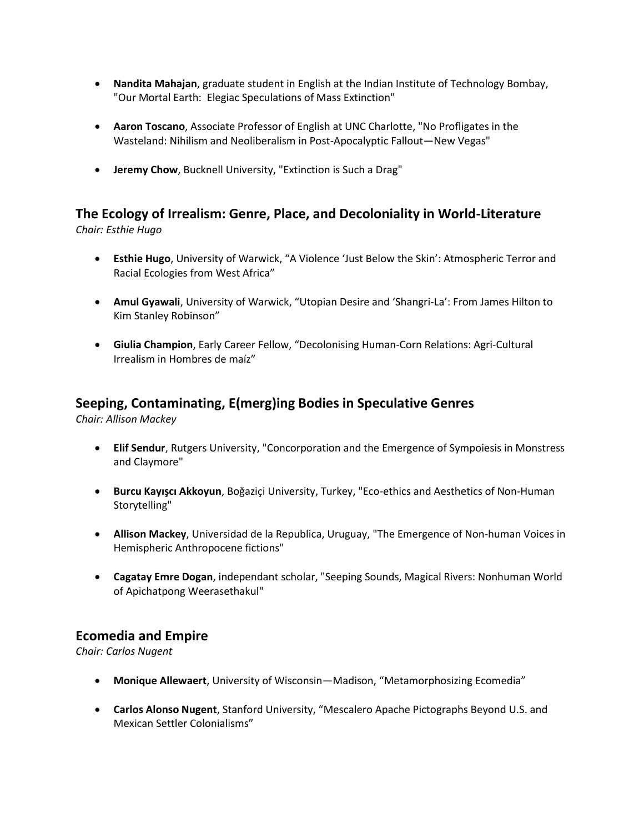- **Nandita Mahajan**, graduate student in English at the Indian Institute of Technology Bombay, "Our Mortal Earth: Elegiac Speculations of Mass Extinction"
- **Aaron Toscano**, Associate Professor of English at UNC Charlotte, "No Profligates in the Wasteland: Nihilism and Neoliberalism in Post-Apocalyptic Fallout—New Vegas"
- **Jeremy Chow**, Bucknell University, "Extinction is Such a Drag"

# **The Ecology of Irrealism: Genre, Place, and Decoloniality in World-Literature**

*Chair: Esthie Hugo*

- **Esthie Hugo**, University of Warwick, "A Violence 'Just Below the Skin': Atmospheric Terror and Racial Ecologies from West Africa"
- **Amul Gyawali**, University of Warwick, "Utopian Desire and 'Shangri-La': From James Hilton to Kim Stanley Robinson"
- **Giulia Champion**, Early Career Fellow, "Decolonising Human-Corn Relations: Agri-Cultural Irrealism in Hombres de maíz"

# **Seeping, Contaminating, E(merg)ing Bodies in Speculative Genres**

*Chair: Allison Mackey*

- **Elif Sendur**, Rutgers University, "Concorporation and the Emergence of Sympoiesis in Monstress and Claymore"
- **Burcu Kayışcı Akkoyun**, Boğaziçi University, Turkey, "Eco-ethics and Aesthetics of Non-Human Storytelling"
- **Allison Mackey**, Universidad de la Republica, Uruguay, "The Emergence of Non-human Voices in Hemispheric Anthropocene fictions"
- **Cagatay Emre Dogan**, independant scholar, "Seeping Sounds, Magical Rivers: Nonhuman World of Apichatpong Weerasethakul"

## **Ecomedia and Empire**

*Chair: Carlos Nugent*

- **Monique Allewaert**, University of Wisconsin—Madison, "Metamorphosizing Ecomedia"
- **Carlos Alonso Nugent**, Stanford University, "Mescalero Apache Pictographs Beyond U.S. and Mexican Settler Colonialisms"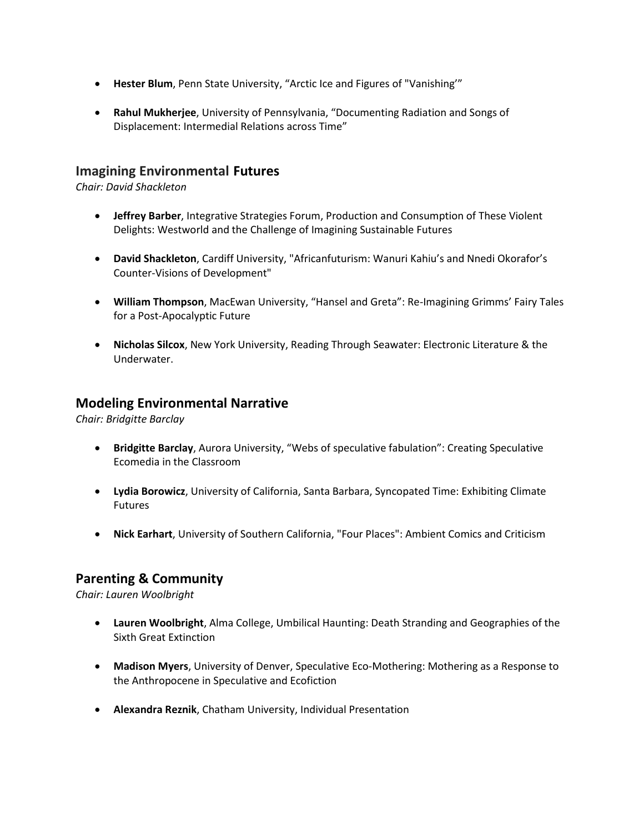- **Hester Blum**, Penn State University, "Arctic Ice and Figures of "Vanishing'"
- **Rahul Mukherjee**, University of Pennsylvania, "Documenting Radiation and Songs of Displacement: Intermedial Relations across Time"

#### **Imagining Environmental Futures**

*Chair: David Shackleton*

- **Jeffrey Barber**, Integrative Strategies Forum, Production and Consumption of These Violent Delights: Westworld and the Challenge of Imagining Sustainable Futures
- **David Shackleton**, Cardiff University, "Africanfuturism: Wanuri Kahiu's and Nnedi Okorafor's Counter-Visions of Development"
- **William Thompson**, MacEwan University, "Hansel and Greta": Re-Imagining Grimms' Fairy Tales for a Post-Apocalyptic Future
- **Nicholas Silcox**, New York University, Reading Through Seawater: Electronic Literature & the Underwater.

#### **Modeling Environmental Narrative**

*Chair: Bridgitte Barclay*

- **Bridgitte Barclay**, Aurora University, "Webs of speculative fabulation": Creating Speculative Ecomedia in the Classroom
- **Lydia Borowicz**, University of California, Santa Barbara, Syncopated Time: Exhibiting Climate Futures
- **Nick Earhart**, University of Southern California, "Four Places": Ambient Comics and Criticism

## **Parenting & Community**

*Chair: Lauren Woolbright*

- **Lauren Woolbright**, Alma College, Umbilical Haunting: Death Stranding and Geographies of the Sixth Great Extinction
- **Madison Myers**, University of Denver, Speculative Eco-Mothering: Mothering as a Response to the Anthropocene in Speculative and Ecofiction
- **Alexandra Reznik**, Chatham University, Individual Presentation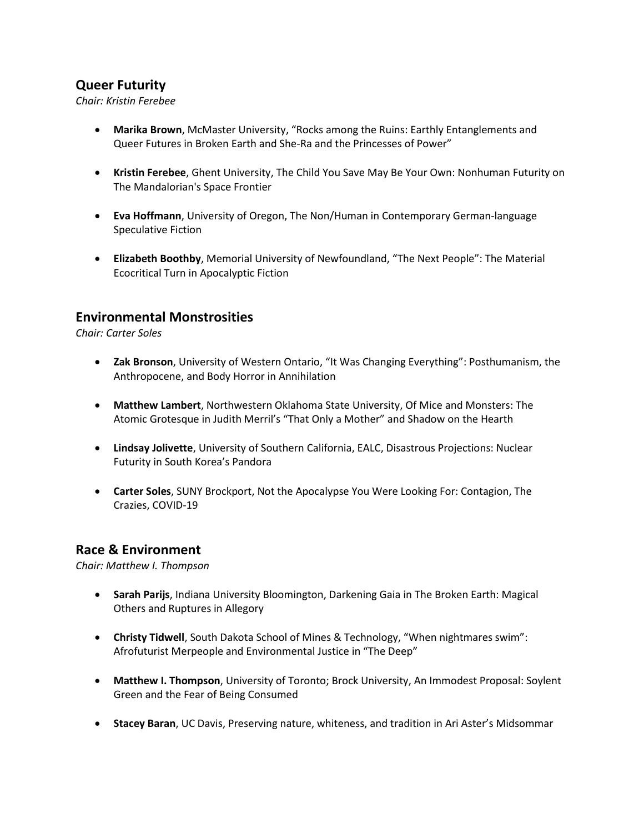## **Queer Futurity**

*Chair: Kristin Ferebee*

- **Marika Brown**, McMaster University, "Rocks among the Ruins: Earthly Entanglements and Queer Futures in Broken Earth and She-Ra and the Princesses of Power"
- **Kristin Ferebee**, Ghent University, The Child You Save May Be Your Own: Nonhuman Futurity on The Mandalorian's Space Frontier
- **Eva Hoffmann**, University of Oregon, The Non/Human in Contemporary German-language Speculative Fiction
- **Elizabeth Boothby**, Memorial University of Newfoundland, "The Next People": The Material Ecocritical Turn in Apocalyptic Fiction

## **Environmental Monstrosities**

*Chair: Carter Soles*

- **Zak Bronson**, University of Western Ontario, "It Was Changing Everything": Posthumanism, the Anthropocene, and Body Horror in Annihilation
- **Matthew Lambert**, Northwestern Oklahoma State University, Of Mice and Monsters: The Atomic Grotesque in Judith Merril's "That Only a Mother" and Shadow on the Hearth
- **Lindsay Jolivette**, University of Southern California, EALC, Disastrous Projections: Nuclear Futurity in South Korea's Pandora
- **Carter Soles**, SUNY Brockport, Not the Apocalypse You Were Looking For: Contagion, The Crazies, COVID-19

## **Race & Environment**

*Chair: Matthew I. Thompson*

- **Sarah Parijs**, Indiana University Bloomington, Darkening Gaia in The Broken Earth: Magical Others and Ruptures in Allegory
- **Christy Tidwell**, South Dakota School of Mines & Technology, "When nightmares swim": Afrofuturist Merpeople and Environmental Justice in "The Deep"
- **Matthew I. Thompson**, University of Toronto; Brock University, An Immodest Proposal: Soylent Green and the Fear of Being Consumed
- **Stacey Baran**, UC Davis, Preserving nature, whiteness, and tradition in Ari Aster's Midsommar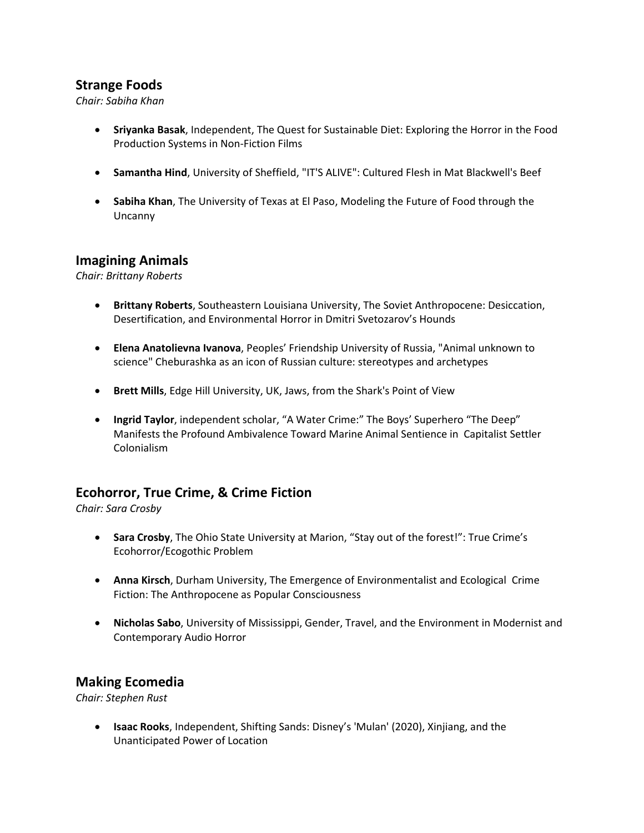## **Strange Foods**

*Chair: Sabiha Khan*

- **Sriyanka Basak**, Independent, The Quest for Sustainable Diet: Exploring the Horror in the Food Production Systems in Non-Fiction Films
- **Samantha Hind**, University of Sheffield, "IT'S ALIVE": Cultured Flesh in Mat Blackwell's Beef
- **Sabiha Khan**, The University of Texas at El Paso, Modeling the Future of Food through the Uncanny

#### **Imagining Animals**

*Chair: Brittany Roberts*

- **Brittany Roberts**, Southeastern Louisiana University, The Soviet Anthropocene: Desiccation, Desertification, and Environmental Horror in Dmitri Svetozarov's Hounds
- **Elena Anatolievna Ivanova**, Peoples' Friendship University of Russia, "Animal unknown to science" Cheburashka as an icon of Russian culture: stereotypes and archetypes
- **Brett Mills**, Edge Hill University, UK, Jaws, from the Shark's Point of View
- **Ingrid Taylor**, independent scholar, "A Water Crime:" The Boys' Superhero "The Deep" Manifests the Profound Ambivalence Toward Marine Animal Sentience in Capitalist Settler Colonialism

## **Ecohorror, True Crime, & Crime Fiction**

*Chair: Sara Crosby*

- **Sara Crosby**, The Ohio State University at Marion, "Stay out of the forest!": True Crime's Ecohorror/Ecogothic Problem
- **Anna Kirsch**, Durham University, The Emergence of Environmentalist and Ecological Crime Fiction: The Anthropocene as Popular Consciousness
- **Nicholas Sabo**, University of Mississippi, Gender, Travel, and the Environment in Modernist and Contemporary Audio Horror

## **Making Ecomedia**

*Chair: Stephen Rust*

• **Isaac Rooks**, Independent, Shifting Sands: Disney's 'Mulan' (2020), Xinjiang, and the Unanticipated Power of Location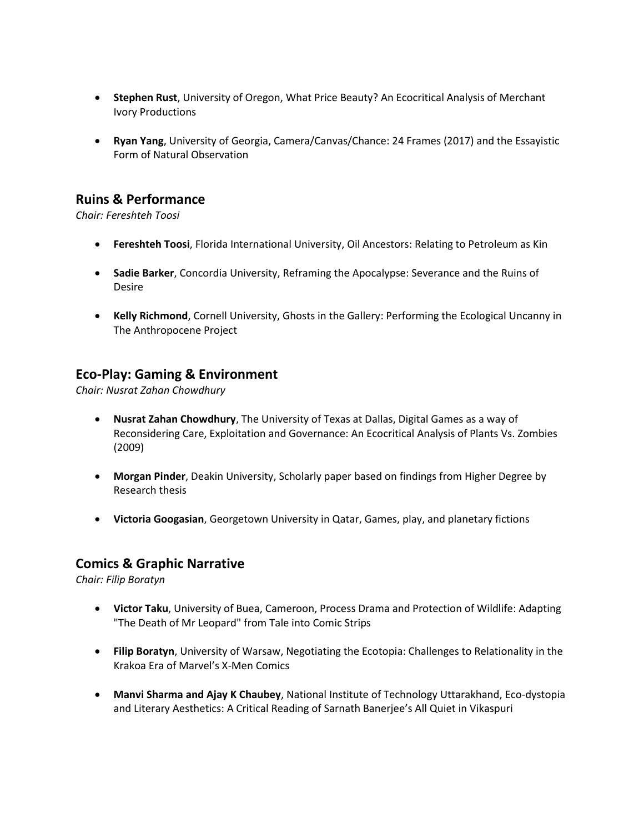- **Stephen Rust**, University of Oregon, What Price Beauty? An Ecocritical Analysis of Merchant Ivory Productions
- **Ryan Yang**, University of Georgia, Camera/Canvas/Chance: 24 Frames (2017) and the Essayistic Form of Natural Observation

## **Ruins & Performance**

*Chair: Fereshteh Toosi*

- **Fereshteh Toosi**, Florida International University, Oil Ancestors: Relating to Petroleum as Kin
- **Sadie Barker**, Concordia University, Reframing the Apocalypse: Severance and the Ruins of Desire
- **Kelly Richmond**, Cornell University, Ghosts in the Gallery: Performing the Ecological Uncanny in The Anthropocene Project

## **Eco-Play: Gaming & Environment**

*Chair: Nusrat Zahan Chowdhury*

- **Nusrat Zahan Chowdhury**, The University of Texas at Dallas, Digital Games as a way of Reconsidering Care, Exploitation and Governance: An Ecocritical Analysis of Plants Vs. Zombies (2009)
- **Morgan Pinder**, Deakin University, Scholarly paper based on findings from Higher Degree by Research thesis
- **Victoria Googasian**, Georgetown University in Qatar, Games, play, and planetary fictions

#### **Comics & Graphic Narrative**

*Chair: Filip Boratyn*

- **Victor Taku**, University of Buea, Cameroon, Process Drama and Protection of Wildlife: Adapting "The Death of Mr Leopard" from Tale into Comic Strips
- **Filip Boratyn**, University of Warsaw, Negotiating the Ecotopia: Challenges to Relationality in the Krakoa Era of Marvel's X-Men Comics
- **Manvi Sharma and Ajay K Chaubey**, National Institute of Technology Uttarakhand, Eco-dystopia and Literary Aesthetics: A Critical Reading of Sarnath Banerjee's All Quiet in Vikaspuri